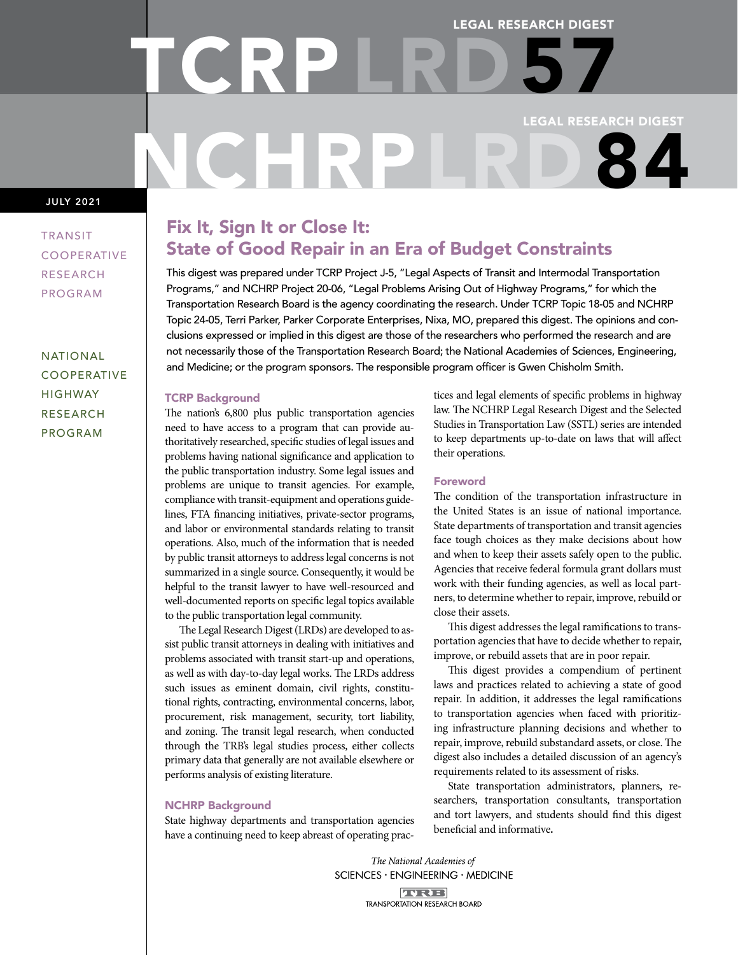# LEGAL RESEARCH DIGEST LEGAL RESEARCH DIGEST NCHRPLRD 84 TCRP LRD 57

## JULY 2021

TRANSIT COOPERATIVE RESEARCH PROGRAM

NATIONAL COOPERATIVE HIGHWAY RESEARCH PROGRAM

# Fix It, Sign It or Close It: State of Good Repair in an Era of Budget Constraints

This digest was prepared under TCRP Project J-5, "Legal Aspects of Transit and Intermodal Transportation Programs," and NCHRP Project 20-06, "Legal Problems Arising Out of Highway Programs," for which the Transportation Research Board is the agency coordinating the research. Under TCRP Topic 18-05 and NCHRP Topic 24-05, Terri Parker, Parker Corporate Enterprises, Nixa, MO, prepared this digest. The opinions and conclusions expressed or implied in this digest are those of the researchers who performed the research and are not necessarily those of the Transportation Research Board; the National Academies of Sciences, Engineering, and Medicine; or the program sponsors. The responsible program officer is Gwen Chisholm Smith.

## TCRP Background

The nation's 6,800 plus public transportation agencies need to have access to a program that can provide authoritatively researched, specific studies of legal issues and problems having national significance and application to the public transportation industry. Some legal issues and problems are unique to transit agencies. For example, compliance with transit-equipment and operations guidelines, FTA financing initiatives, private-sector programs, and labor or environmental standards relating to transit operations. Also, much of the information that is needed by public transit attorneys to address legal concerns is not summarized in a single source. Consequently, it would be helpful to the transit lawyer to have well-resourced and well-documented reports on specific legal topics available to the public transportation legal community.

The Legal Research Digest (LRDs) are developed to assist public transit attorneys in dealing with initiatives and problems associated with transit start-up and operations, as well as with day-to-day legal works. The LRDs address such issues as eminent domain, civil rights, constitutional rights, contracting, environmental concerns, labor, procurement, risk management, security, tort liability, and zoning. The transit legal research, when conducted through the TRB's legal studies process, either collects primary data that generally are not available elsewhere or performs analysis of existing literature.

## NCHRP Background

State highway departments and transportation agencies have a continuing need to keep abreast of operating practices and legal elements of specific problems in highway law. The NCHRP Legal Research Digest and the Selected Studies in Transportation Law (SSTL) series are intended to keep departments up-to-date on laws that will affect their operations.

## Foreword

The condition of the transportation infrastructure in the United States is an issue of national importance. State departments of transportation and transit agencies face tough choices as they make decisions about how and when to keep their assets safely open to the public. Agencies that receive federal formula grant dollars must work with their funding agencies, as well as local partners, to determine whether to repair, improve, rebuild or close their assets.

This digest addresses the legal ramifications to transportation agencies that have to decide whether to repair, improve, or rebuild assets that are in poor repair.

This digest provides a compendium of pertinent laws and practices related to achieving a state of good repair. In addition, it addresses the legal ramifications to transportation agencies when faced with prioritizing infrastructure planning decisions and whether to repair, improve, rebuild substandard assets, or close. The digest also includes a detailed discussion of an agency's requirements related to its assessment of risks.

State transportation administrators, planners, researchers, transportation consultants, transportation and tort lawyers, and students should find this digest beneficial and informative.

The National Academies of SCIENCES · ENGINEERING · MEDICINE **TURE! TRANSPORTATION RESEARCH BOARD**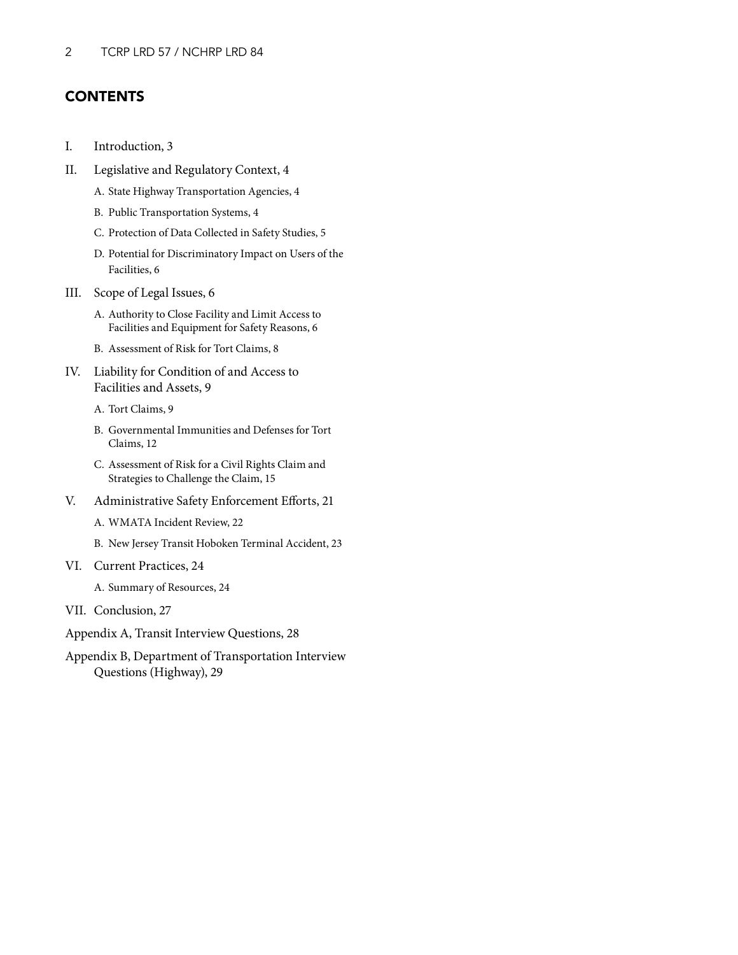## **CONTENTS**

- I. [Introduction, 3](#page-2-0)
- [II. Legislative and Regulatory Context, 4](#page-3-0)
	- A. [State Highway Transportation Agencies, 4](#page-3-0)
	- B. [Public Transportation Systems, 4](#page-3-0)
	- C. [Protection of Data Collected in Safety Studies, 5](#page-4-0)
	- D. [Potential for Discriminatory Impact on Users of the](#page-5-0)  Facilities, 6
- [III. Scope of Legal Issues, 6](#page-5-0)
	- A. [Authority to Close Facility and Limit Access to](#page-5-0)  Facilities and Equipment for Safety Reasons, 6
	- [B. Assessment of Risk for Tort Claims, 8](#page-7-0)
- IV. [Liability for Condition of and Access to](#page-8-0) Facilities and Assets, 9
	- A. [Tort Claims, 9](#page-8-0)
	- B. [Governmental Immunities and Defenses for Tort](#page-11-0)  Claims, 12
	- C. [Assessment of Risk for a Civil Rights Claim and](#page-14-0) Strategies to Challenge the Claim, 15
- [V. Administrative Safety Enforcement Efforts, 21](#page-20-0)
	- A. [WMATA Incident Review, 22](#page-21-0)
	- B. [New Jersey Transit Hoboken Terminal Accident, 23](#page-22-0)
- [VI. Current Practices, 24](#page-23-0)
	- A. [Summary of Resources, 24](#page-23-0)
- VII. [Conclusion, 27](#page-26-0)
- [Appendix A, Transit Interview Questions, 28](#page-27-0)
- [Appendix B, Department of Transportation Interview](#page-28-0) Questions (Highway), 29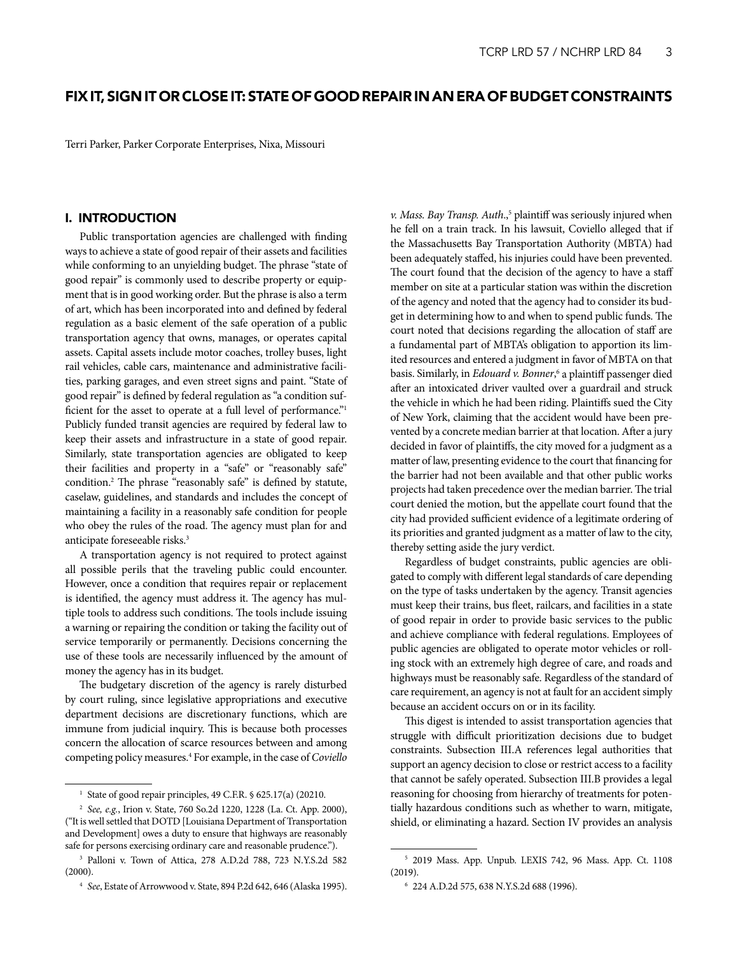## <span id="page-2-0"></span>FIX IT, SIGN IT OR CLOSE IT: STATE OF GOOD REPAIR IN AN ERA OF BUDGET CONSTRAINTS

Terri Parker, Parker Corporate Enterprises, Nixa, Missouri

## I. INTRODUCTION

Public transportation agencies are challenged with finding ways to achieve a state of good repair of their assets and facilities while conforming to an unyielding budget. The phrase "state of good repair" is commonly used to describe property or equipment that is in good working order. But the phrase is also a term of art, which has been incorporated into and defined by federal regulation as a basic element of the safe operation of a public transportation agency that owns, manages, or operates capital assets. Capital assets include motor coaches, trolley buses, light rail vehicles, cable cars, maintenance and administrative facilities, parking garages, and even street signs and paint. "State of good repair" is defined by federal regulation as "a condition sufficient for the asset to operate at a full level of performance."<sup>1</sup> Publicly funded transit agencies are required by federal law to keep their assets and infrastructure in a state of good repair. Similarly, state transportation agencies are obligated to keep their facilities and property in a "safe" or "reasonably safe" condition.2 The phrase "reasonably safe" is defined by statute, caselaw, guidelines, and standards and includes the concept of maintaining a facility in a reasonably safe condition for people who obey the rules of the road. The agency must plan for and anticipate foreseeable risks.3

A transportation agency is not required to protect against all possible perils that the traveling public could encounter. However, once a condition that requires repair or replacement is identified, the agency must address it. The agency has multiple tools to address such conditions. The tools include issuing a warning or repairing the condition or taking the facility out of service temporarily or permanently. Decisions concerning the use of these tools are necessarily influenced by the amount of money the agency has in its budget.

The budgetary discretion of the agency is rarely disturbed by court ruling, since legislative appropriations and executive department decisions are discretionary functions, which are immune from judicial inquiry. This is because both processes concern the allocation of scarce resources between and among competing policy measures.4 For example, in the case of *Coviello*  v. Mass. Bay Transp. Auth.,<sup>5</sup> plaintiff was seriously injured when he fell on a train track. In his lawsuit, Coviello alleged that if the Massachusetts Bay Transportation Authority (MBTA) had been adequately staffed, his injuries could have been prevented. The court found that the decision of the agency to have a staff member on site at a particular station was within the discretion of the agency and noted that the agency had to consider its budget in determining how to and when to spend public funds. The court noted that decisions regarding the allocation of staff are a fundamental part of MBTA's obligation to apportion its limited resources and entered a judgment in favor of MBTA on that basis. Similarly, in *Edouard v. Bonner*,<sup>6</sup> a plaintiff passenger died after an intoxicated driver vaulted over a guardrail and struck the vehicle in which he had been riding. Plaintiffs sued the City of New York, claiming that the accident would have been prevented by a concrete median barrier at that location. After a jury decided in favor of plaintiffs, the city moved for a judgment as a matter of law, presenting evidence to the court that financing for the barrier had not been available and that other public works projects had taken precedence over the median barrier. The trial court denied the motion, but the appellate court found that the city had provided sufficient evidence of a legitimate ordering of its priorities and granted judgment as a matter of law to the city, thereby setting aside the jury verdict.

Regardless of budget constraints, public agencies are obligated to comply with different legal standards of care depending on the type of tasks undertaken by the agency. Transit agencies must keep their trains, bus fleet, railcars, and facilities in a state of good repair in order to provide basic services to the public and achieve compliance with federal regulations. Employees of public agencies are obligated to operate motor vehicles or rolling stock with an extremely high degree of care, and roads and highways must be reasonably safe. Regardless of the standard of care requirement, an agency is not at fault for an accident simply because an accident occurs on or in its facility.

This digest is intended to assist transportation agencies that struggle with difficult prioritization decisions due to budget constraints. Subsection III.A references legal authorities that support an agency decision to close or restrict access to a facility that cannot be safely operated. Subsection III.B provides a legal reasoning for choosing from hierarchy of treatments for potentially hazardous conditions such as whether to warn, mitigate, shield, or eliminating a hazard. Section IV provides an analysis

<sup>&</sup>lt;sup>1</sup> State of good repair principles, 49 C.F.R. § 625.17(a) (20210.

<sup>2</sup> *See, e.g.*, Irion v. State, 760 So.2d 1220, 1228 (La. Ct. App. 2000), ("It is well settled that DOTD [Louisiana Department of Transportation and Development] owes a duty to ensure that highways are reasonably safe for persons exercising ordinary care and reasonable prudence.").

<sup>3</sup> Palloni v. Town of Attica, 278 A.D.2d 788, 723 N.Y.S.2d 582 (2000).

<sup>4</sup> *See*, Estate of Arrowwood v. State, 894 P.2d 642, 646 (Alaska 1995).

<sup>5</sup> 2019 Mass. App. Unpub. LEXIS 742, 96 Mass. App. Ct. 1108 (2019).

<sup>6</sup> 224 A.D.2d 575, 638 N.Y.S.2d 688 (1996).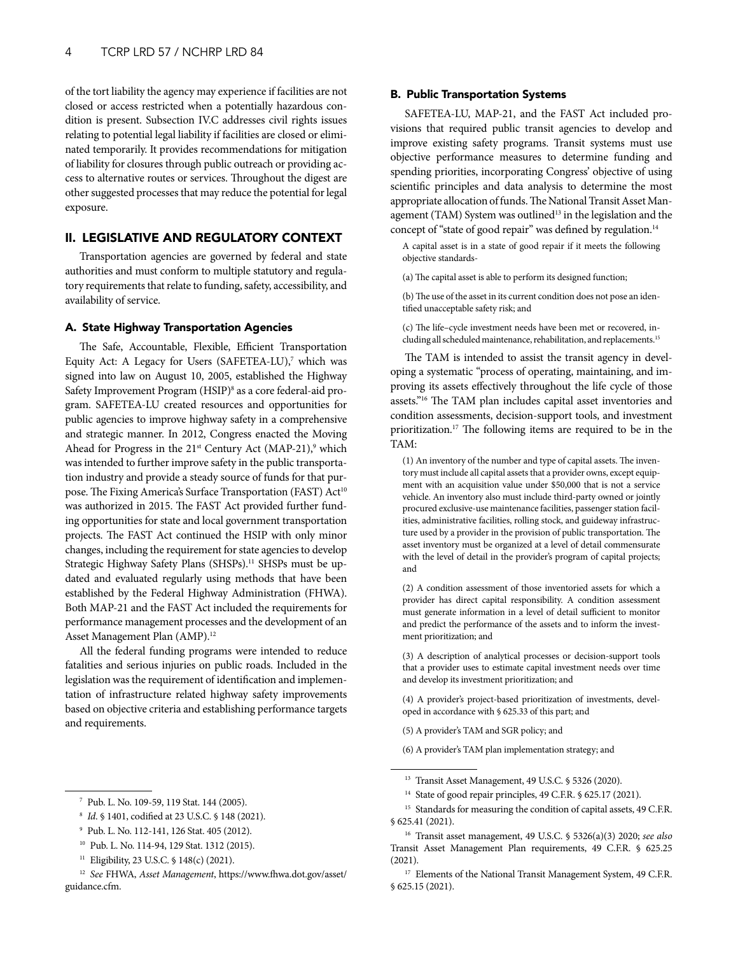<span id="page-3-0"></span>of the tort liability the agency may experience if facilities are not closed or access restricted when a potentially hazardous condition is present. Subsection IV.C addresses civil rights issues relating to potential legal liability if facilities are closed or eliminated temporarily. It provides recommendations for mitigation of liability for closures through public outreach or providing access to alternative routes or services. Throughout the digest are other suggested processes that may reduce the potential for legal exposure.

## II. LEGISLATIVE AND REGULATORY CONTEXT

Transportation agencies are governed by federal and state authorities and must conform to multiple statutory and regulatory requirements that relate to funding, safety, accessibility, and availability of service.

## A. State Highway Transportation Agencies

The Safe, Accountable, Flexible, Efficient Transportation Equity Act: A Legacy for Users (SAFETEA-LU),<sup>7</sup> which was signed into law on August 10, 2005, established the Highway Safety Improvement Program (HSIP)<sup>8</sup> as a core federal-aid program. SAFETEA-LU created resources and opportunities for public agencies to improve highway safety in a comprehensive and strategic manner. In 2012, Congress enacted the Moving Ahead for Progress in the  $21<sup>st</sup>$  Century Act (MAP-21),<sup>9</sup> which was intended to further improve safety in the public transportation industry and provide a steady source of funds for that purpose. The Fixing America's Surface Transportation (FAST) Act<sup>10</sup> was authorized in 2015. The FAST Act provided further funding opportunities for state and local government transportation projects. The FAST Act continued the HSIP with only minor changes, including the requirement for state agencies to develop Strategic Highway Safety Plans (SHSPs).<sup>11</sup> SHSPs must be updated and evaluated regularly using methods that have been established by the Federal Highway Administration (FHWA). Both MAP-21 and the FAST Act included the requirements for performance management processes and the development of an Asset Management Plan (AMP).<sup>12</sup>

All the federal funding programs were intended to reduce fatalities and serious injuries on public roads. Included in the legislation was the requirement of identification and implementation of infrastructure related highway safety improvements based on objective criteria and establishing performance targets and requirements.

## B. Public Transportation Systems

SAFETEA-LU, MAP-21, and the FAST Act included provisions that required public transit agencies to develop and improve existing safety programs. Transit systems must use objective performance measures to determine funding and spending priorities, incorporating Congress' objective of using scientific principles and data analysis to determine the most appropriate allocation of funds. The National Transit Asset Management (TAM) System was outlined<sup>13</sup> in the legislation and the concept of "state of good repair" was defined by regulation.<sup>14</sup>

A capital asset is in a state of good repair if it meets the following objective standards-

(a) The capital asset is able to perform its designed function;

(b) The use of the asset in its current condition does not pose an identified unacceptable safety risk; and

(c) The life–cycle investment needs have been met or recovered, including all scheduled maintenance, rehabilitation, and replacements.15

The TAM is intended to assist the transit agency in developing a systematic "process of operating, maintaining, and improving its assets effectively throughout the life cycle of those assets."16 The TAM plan includes capital asset inventories and condition assessments, decision-support tools, and investment prioritization.17 The following items are required to be in the TAM:

(1) An inventory of the number and type of capital assets. The inventory must include all capital assets that a provider owns, except equipment with an acquisition value under \$50,000 that is not a service vehicle. An inventory also must include third-party owned or jointly procured exclusive-use maintenance facilities, passenger station facilities, administrative facilities, rolling stock, and guideway infrastructure used by a provider in the provision of public transportation. The asset inventory must be organized at a level of detail commensurate with the level of detail in the provider's program of capital projects; and

(2) A condition assessment of those inventoried assets for which a provider has direct capital responsibility. A condition assessment must generate information in a level of detail sufficient to monitor and predict the performance of the assets and to inform the investment prioritization; and

(3) A description of analytical processes or decision-support tools that a provider uses to estimate capital investment needs over time and develop its investment prioritization; and

(4) A provider's project-based prioritization of investments, developed in accordance with § 625.33 of this part; and

(5) A provider's TAM and SGR policy; and

(6) A provider's TAM plan implementation strategy; and

<sup>7</sup> Pub. L. No. 109-59, 119 Stat. 144 (2005).

<sup>8</sup> *Id*. § 1401, codified at 23 U.S.C. § 148 (2021).

<sup>9</sup> Pub. L. No. 112-141, 126 Stat. 405 (2012).

<sup>10</sup> Pub. L. No. 114-94, 129 Stat. 1312 (2015).

<sup>11</sup> Eligibility, 23 U.S.C. § 148(c) (2021).

<sup>12</sup> *See* FHWA, *Asset Management*[, https://www.fhwa.dot.gov/asset/](https://www.fhwa.dot.gov/asset/guidance.cfm.) guidance.cfm.

<sup>13</sup> Transit Asset Management, 49 U.S.C. § 5326 (2020).

<sup>&</sup>lt;sup>14</sup> State of good repair principles, 49 C.F.R. § 625.17 (2021).

<sup>&</sup>lt;sup>15</sup> Standards for measuring the condition of capital assets, 49 C.F.R. § 625.41 (2021).

<sup>16</sup> Transit asset management, 49 U.S.C. § 5326(a)(3) 2020; *see also* Transit Asset Management Plan requirements, 49 C.F.R. § 625.25 (2021).

<sup>&</sup>lt;sup>17</sup> Elements of the National Transit Management System, 49 C.F.R. § 625.15 (2021).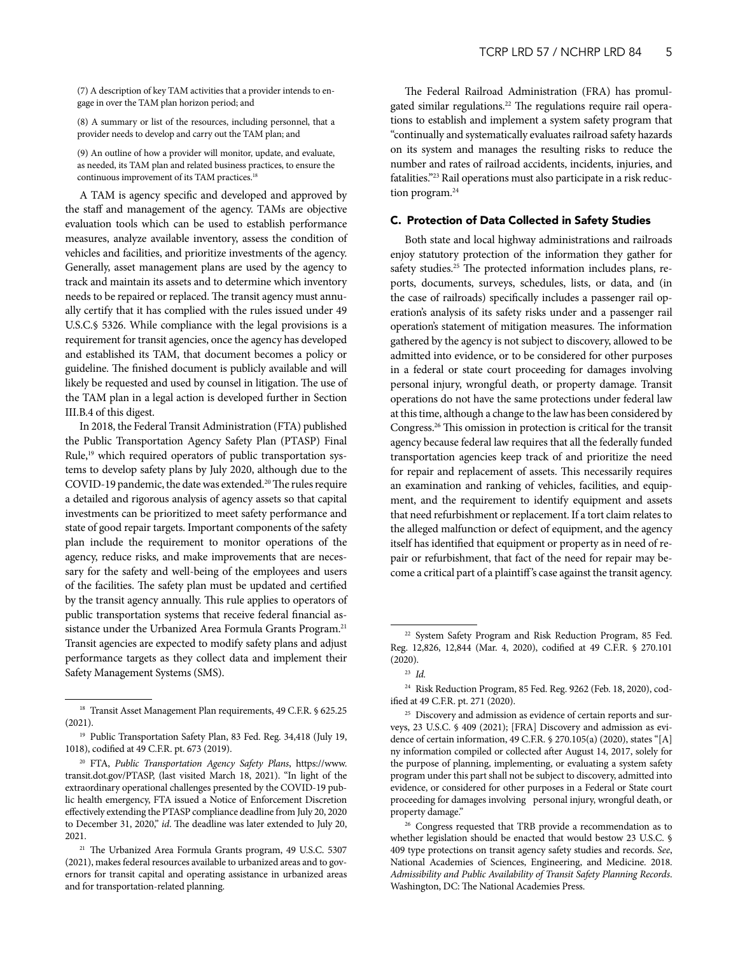<span id="page-4-0"></span>(7) A description of key TAM activities that a provider intends to engage in over the TAM plan horizon period; and

(8) A summary or list of the resources, including personnel, that a provider needs to develop and carry out the TAM plan; and

(9) An outline of how a provider will monitor, update, and evaluate, as needed, its TAM plan and related business practices, to ensure the continuous improvement of its TAM practices.<sup>18</sup>

A TAM is agency specific and developed and approved by the staff and management of the agency. TAMs are objective evaluation tools which can be used to establish performance measures, analyze available inventory, assess the condition of vehicles and facilities, and prioritize investments of the agency. Generally, asset management plans are used by the agency to track and maintain its assets and to determine which inventory needs to be repaired or replaced. The transit agency must annually certify that it has complied with the rules issued under 49 U.S.C.§ 5326. While compliance with the legal provisions is a requirement for transit agencies, once the agency has developed and established its TAM, that document becomes a policy or guideline. The finished document is publicly available and will likely be requested and used by counsel in litigation. The use of the TAM plan in a legal action is developed further in Section III.B.4 of this digest.

In 2018, the Federal Transit Administration (FTA) published the Public Transportation Agency Safety Plan (PTASP) Final Rule,19 which required operators of public transportation systems to develop safety plans by July 2020, although due to the COVID-19 pandemic, the date was extended.<sup>20</sup> The rules require a detailed and rigorous analysis of agency assets so that capital investments can be prioritized to meet safety performance and state of good repair targets. Important components of the safety plan include the requirement to monitor operations of the agency, reduce risks, and make improvements that are necessary for the safety and well-being of the employees and users of the facilities. The safety plan must be updated and certified by the transit agency annually. This rule applies to operators of public transportation systems that receive federal financial assistance under the Urbanized Area Formula Grants Program.<sup>21</sup> Transit agencies are expected to modify safety plans and adjust performance targets as they collect data and implement their Safety Management Systems (SMS).

The Federal Railroad Administration (FRA) has promulgated similar regulations.<sup>22</sup> The regulations require rail operations to establish and implement a system safety program that "continually and systematically evaluates railroad safety hazards on its system and manages the resulting risks to reduce the number and rates of railroad accidents, incidents, injuries, and fatalities."23 Rail operations must also participate in a risk reduction program.<sup>24</sup>

#### C. Protection of Data Collected in Safety Studies

Both state and local highway administrations and railroads enjoy statutory protection of the information they gather for safety studies.<sup>25</sup> The protected information includes plans, reports, documents, surveys, schedules, lists, or data, and (in the case of railroads) specifically includes a passenger rail operation's analysis of its safety risks under and a passenger rail operation's statement of mitigation measures. The information gathered by the agency is not subject to discovery, allowed to be admitted into evidence, or to be considered for other purposes in a federal or state court proceeding for damages involving personal injury, wrongful death, or property damage. Transit operations do not have the same protections under federal law at this time, although a change to the law has been considered by Congress.26 This omission in protection is critical for the transit agency because federal law requires that all the federally funded transportation agencies keep track of and prioritize the need for repair and replacement of assets. This necessarily requires an examination and ranking of vehicles, facilities, and equipment, and the requirement to identify equipment and assets that need refurbishment or replacement. If a tort claim relates to the alleged malfunction or defect of equipment, and the agency itself has identified that equipment or property as in need of repair or refurbishment, that fact of the need for repair may become a critical part of a plaintiff's case against the transit agency.

<sup>&</sup>lt;sup>18</sup> Transit Asset Management Plan requirements, 49 C.F.R. § 625.25 (2021).

<sup>19</sup> Public Transportation Safety Plan, 83 Fed. Reg. 34,418 (July 19, 1018), codified at 49 C.F.R. pt. 673 (2019).

<sup>20</sup> FTA, *Public Transportation Agency Safety Plans*, https://www. transit.dot.gov/PTASP, (last visited March 18, 2021). "In light of the extraordinary operational challenges presented by the COVID-19 public health emergency, FTA issued a Notice of Enforcement Discretion effectively extending the PTASP compliance deadline from July 20, 2020 to December 31, 2020," *id*. The deadline was later extended to July 20, 2021.

<sup>&</sup>lt;sup>21</sup> The Urbanized Area Formula Grants program, 49 U.S.C. 5307 (2021), makes federal resources available to urbanized areas and to governors for transit capital and operating assistance in urbanized areas and for transportation-related planning.

<sup>&</sup>lt;sup>22</sup> System Safety Program and Risk Reduction Program, 85 Fed. Reg. 12,826, 12,844 (Mar. 4, 2020), codified at 49 C.F.R. § 270.101 (2020).

<sup>23</sup> *Id.*

<sup>24</sup> Risk Reduction Program, 85 Fed. Reg. 9262 (Feb. 18, 2020), codified at 49 C.F.R. pt. 271 (2020).

<sup>&</sup>lt;sup>25</sup> Discovery and admission as evidence of certain reports and surveys, 23 U.S.C. § 409 (2021); [FRA] Discovery and admission as evidence of certain information, 49 C.F.R. § 270.105(a) (2020), states "[A] ny information compiled or collected after August 14, 2017, solely for the purpose of planning, implementing, or evaluating a system safety program under this part shall not be subject to discovery, admitted into evidence, or considered for other purposes in a Federal or State court proceeding for damages involving personal injury, wrongful death, or property damage."

<sup>&</sup>lt;sup>26</sup> Congress requested that TRB provide a recommendation as to whether legislation should be enacted that would bestow 23 U.S.C. § 409 type protections on transit agency safety studies and records. *See*, National Academies of Sciences, Engineering, and Medicine. 2018. *Admissibility and Public Availability of Transit Safety Planning Records*. Washington, DC: The National Academies Press.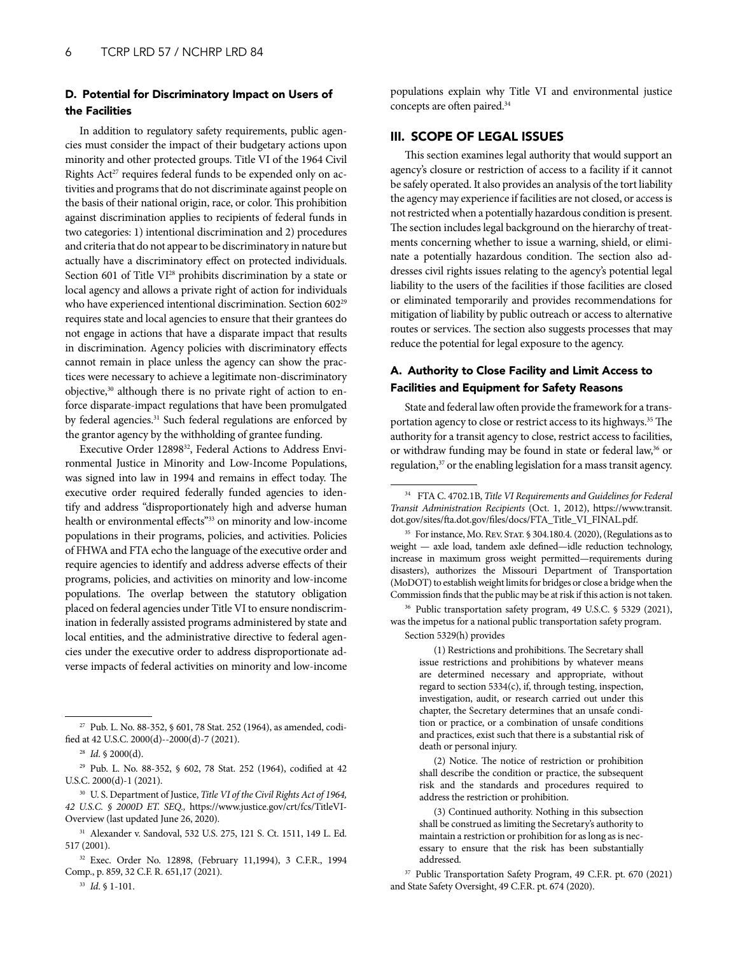## <span id="page-5-0"></span>D. Potential for Discriminatory Impact on Users of the Facilities

In addition to regulatory safety requirements, public agencies must consider the impact of their budgetary actions upon minority and other protected groups. Title VI of the 1964 Civil Rights  $Act^{27}$  requires federal funds to be expended only on activities and programs that do not discriminate against people on the basis of their national origin, race, or color. This prohibition against discrimination applies to recipients of federal funds in two categories: 1) intentional discrimination and 2) procedures and criteria that do not appear to be discriminatory in nature but actually have a discriminatory effect on protected individuals. Section 601 of Title VI<sup>28</sup> prohibits discrimination by a state or local agency and allows a private right of action for individuals who have experienced intentional discrimination. Section 60229 requires state and local agencies to ensure that their grantees do not engage in actions that have a disparate impact that results in discrimination. Agency policies with discriminatory effects cannot remain in place unless the agency can show the practices were necessary to achieve a legitimate non-discriminatory objective,<sup>30</sup> although there is no private right of action to enforce disparate-impact regulations that have been promulgated by federal agencies.<sup>31</sup> Such federal regulations are enforced by the grantor agency by the withholding of grantee funding.

Executive Order 12898<sup>32</sup>, Federal Actions to Address Environmental Justice in Minority and Low-Income Populations, was signed into law in 1994 and remains in effect today. The executive order required federally funded agencies to identify and address "disproportionately high and adverse human health or environmental effects"33 on minority and low-income populations in their programs, policies, and activities. Policies of FHWA and FTA echo the language of the executive order and require agencies to identify and address adverse effects of their programs, policies, and activities on minority and low-income populations. The overlap between the statutory obligation placed on federal agencies under Title VI to ensure nondiscrimination in federally assisted programs administered by state and local entities, and the administrative directive to federal agencies under the executive order to address disproportionate adverse impacts of federal activities on minority and low-income

populations explain why Title VI and environmental justice concepts are often paired.34

## III. SCOPE OF LEGAL ISSUES

This section examines legal authority that would support an agency's closure or restriction of access to a facility if it cannot be safely operated. It also provides an analysis of the tort liability the agency may experience if facilities are not closed, or access is not restricted when a potentially hazardous condition is present. The section includes legal background on the hierarchy of treatments concerning whether to issue a warning, shield, or eliminate a potentially hazardous condition. The section also addresses civil rights issues relating to the agency's potential legal liability to the users of the facilities if those facilities are closed or eliminated temporarily and provides recommendations for mitigation of liability by public outreach or access to alternative routes or services. The section also suggests processes that may reduce the potential for legal exposure to the agency.

## A. Authority to Close Facility and Limit Access to Facilities and Equipment for Safety Reasons

State and federal law often provide the framework for a transportation agency to close or restrict access to its highways.<sup>35</sup> The authority for a transit agency to close, restrict access to facilities, or withdraw funding may be found in state or federal law,<sup>36</sup> or regulation,<sup>37</sup> or the enabling legislation for a mass transit agency.

<sup>36</sup> Public transportation safety program, 49 U.S.C. § 5329 (2021), was the impetus for a national public transportation safety program.

Section 5329(h) provides

(1) Restrictions and prohibitions. The Secretary shall issue restrictions and prohibitions by whatever means are determined necessary and appropriate, without regard to section 5334(c), if, through testing, inspection, investigation, audit, or research carried out under this chapter, the Secretary determines that an unsafe condition or practice, or a combination of unsafe conditions and practices, exist such that there is a substantial risk of death or personal injury.

(2) Notice. The notice of restriction or prohibition shall describe the condition or practice, the subsequent risk and the standards and procedures required to address the restriction or prohibition.

(3) Continued authority. Nothing in this subsection shall be construed as limiting the Secretary's authority to maintain a restriction or prohibition for as long as is necessary to ensure that the risk has been substantially addressed.

<sup>27</sup> Pub. L. No. 88-352, § 601, 78 Stat. 252 (1964), as amended, codified at 42 U.S.C. 2000(d)--2000(d)-7 (2021).

<sup>28</sup> *Id*. § 2000(d).

<sup>29</sup> Pub. L. No. 88-352, § 602, 78 Stat. 252 (1964), codified at 42 U.S.C. 2000(d)-1 (2021).

<sup>30</sup> U. S. Department of Justice, *Title VI of the Civil Rights Act of 1964, 42 U.S.C. § 2000D ET. SEQ.,* https://www.justice.gov/crt/fcs/TitleVI-Overview (last updated June 26, 2020).

<sup>31</sup> Alexander v. Sandoval, 532 U.S. 275, 121 S. Ct. 1511, 149 L. Ed. 517 (2001).

<sup>32</sup> Exec. Order No. 12898, (February 11,1994), 3 C.F.R., 1994 Comp., p. 859, 32 C.F. R. 651,17 (2021).

<sup>33</sup> *Id*. § 1-101.

<sup>34</sup> FTA C. 4702.1B, *Title VI Requirements and Guidelines for Federal Transit Administration Recipients* (Oct. 1, 2012), https://www.transit. dot.gov/sites/fta.dot.gov/files/docs/FTA\_Title\_VI\_FINAL.pdf.

<sup>&</sup>lt;sup>35</sup> For instance, Mo. REV. STAT. § 304.180.4. (2020), (Regulations as to weight — axle load, tandem axle defined—idle reduction technology, increase in maximum gross weight permitted—requirements during disasters), authorizes the Missouri Department of Transportation (MoDOT) to establish weight limits for bridges or close a bridge when the Commission finds that the public may be at risk if this action is not taken.

<sup>37</sup> Public Transportation Safety Program, 49 C.F.R. pt. 670 (2021) and State Safety Oversight, 49 C.F.R. pt. 674 (2020).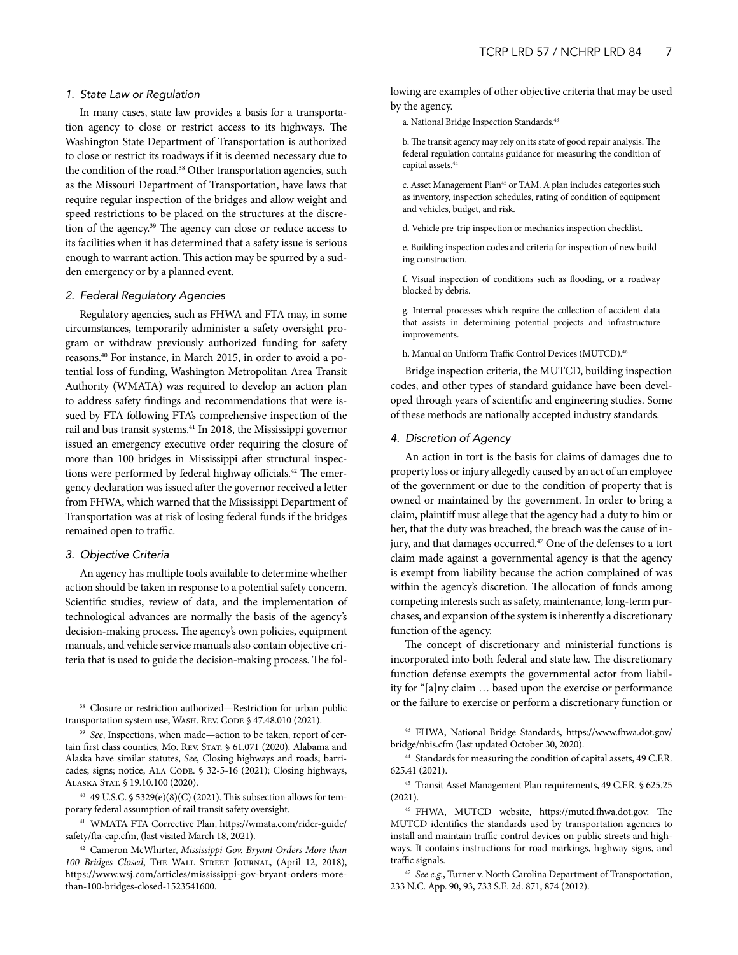#### *1. State Law or Regulation*

In many cases, state law provides a basis for a transportation agency to close or restrict access to its highways. The Washington State Department of Transportation is authorized to close or restrict its roadways if it is deemed necessary due to the condition of the road.<sup>38</sup> Other transportation agencies, such as the Missouri Department of Transportation, have laws that require regular inspection of the bridges and allow weight and speed restrictions to be placed on the structures at the discretion of the agency.39 The agency can close or reduce access to its facilities when it has determined that a safety issue is serious enough to warrant action. This action may be spurred by a sudden emergency or by a planned event.

#### *2. Federal Regulatory Agencies*

Regulatory agencies, such as FHWA and FTA may, in some circumstances, temporarily administer a safety oversight program or withdraw previously authorized funding for safety reasons.40 For instance, in March 2015, in order to avoid a potential loss of funding, Washington Metropolitan Area Transit Authority (WMATA) was required to develop an action plan to address safety findings and recommendations that were issued by FTA following FTA's comprehensive inspection of the rail and bus transit systems.41 In 2018, the Mississippi governor issued an emergency executive order requiring the closure of more than 100 bridges in Mississippi after structural inspections were performed by federal highway officials.<sup>42</sup> The emergency declaration was issued after the governor received a letter from FHWA, which warned that the Mississippi Department of Transportation was at risk of losing federal funds if the bridges remained open to traffic.

#### *3. Objective Criteria*

An agency has multiple tools available to determine whether action should be taken in response to a potential safety concern. Scientific studies, review of data, and the implementation of technological advances are normally the basis of the agency's decision-making process. The agency's own policies, equipment manuals, and vehicle service manuals also contain objective criteria that is used to guide the decision-making process. The following are examples of other objective criteria that may be used by the agency.

a. National Bridge Inspection Standards.<sup>43</sup>

b. The transit agency may rely on its state of good repair analysis. The federal regulation contains guidance for measuring the condition of capital assets.44

c. Asset Management Plan<sup>45</sup> or TAM. A plan includes categories such as inventory, inspection schedules, rating of condition of equipment and vehicles, budget, and risk.

d. Vehicle pre-trip inspection or mechanics inspection checklist.

e. Building inspection codes and criteria for inspection of new building construction.

f. Visual inspection of conditions such as flooding, or a roadway blocked by debris.

g. Internal processes which require the collection of accident data that assists in determining potential projects and infrastructure improvements.

h. Manual on Uniform Traffic Control Devices (MUTCD).<sup>46</sup>

Bridge inspection criteria, the MUTCD, building inspection codes, and other types of standard guidance have been developed through years of scientific and engineering studies. Some of these methods are nationally accepted industry standards.

#### *4. Discretion of Agency*

An action in tort is the basis for claims of damages due to property loss or injury allegedly caused by an act of an employee of the government or due to the condition of property that is owned or maintained by the government. In order to bring a claim, plaintiff must allege that the agency had a duty to him or her, that the duty was breached, the breach was the cause of injury, and that damages occurred.<sup>47</sup> One of the defenses to a tort claim made against a governmental agency is that the agency is exempt from liability because the action complained of was within the agency's discretion. The allocation of funds among competing interests such as safety, maintenance, long-term purchases, and expansion of the system is inherently a discretionary function of the agency.

The concept of discretionary and ministerial functions is incorporated into both federal and state law. The discretionary function defense exempts the governmental actor from liability for "[a]ny claim … based upon the exercise or performance or the failure to exercise or perform a discretionary function or

<sup>38</sup> Closure or restriction authorized—Restriction for urban public transportation system use, WASH. REV. CODE § 47.48.010 (2021).

<sup>39</sup> *See*, Inspections, when made—action to be taken, report of certain first class counties, Mo. Rev. STAT. § 61.071 (2020). Alabama and Alaska have similar statutes, *See*, Closing highways and roads; barricades; signs; notice, ALA CODE. § 32-5-16 (2021); Closing highways, Alaska Stat. § 19.10.100 (2020).

 $40$  49 U.S.C. § 5329(e)(8)(C) (2021). This subsection allows for temporary federal assumption of rail transit safety oversight.

<sup>41</sup> WMATA FTA Corrective Plan, https://wmata.com/rider-guide/ safety/fta-cap.cfm, (last visited March 18, 2021).

<sup>42</sup> Cameron McWhirter, *Mississippi Gov. Bryant Orders More than 100 Bridges Closed*, The Wall Street Journal, (April 12, 2018), https://www.wsj.com/articles/mississippi-gov-bryant-orders-morethan-100-bridges-closed-1523541600.

<sup>43</sup> FHWA, National Bridge Standards, https://www.fhwa.dot.gov/ bridge/nbis.cfm (last updated October 30, 2020).

<sup>44</sup> Standards for measuring the condition of capital assets, 49 C.F.R. 625.41 (2021).

<sup>45</sup> Transit Asset Management Plan requirements, 49 C.F.R. § 625.25 (2021).

<sup>46</sup> FHWA, MUTCD website, https://mutcd.fhwa.dot.gov. The MUTCD identifies the standards used by transportation agencies to install and maintain traffic control devices on public streets and highways. It contains instructions for road markings, highway signs, and traffic signals.

<sup>47</sup> *See e.g.*, Turner v. North Carolina Department of Transportation, 233 N.C. App. 90, 93, 733 S.E. 2d. 871, 874 (2012).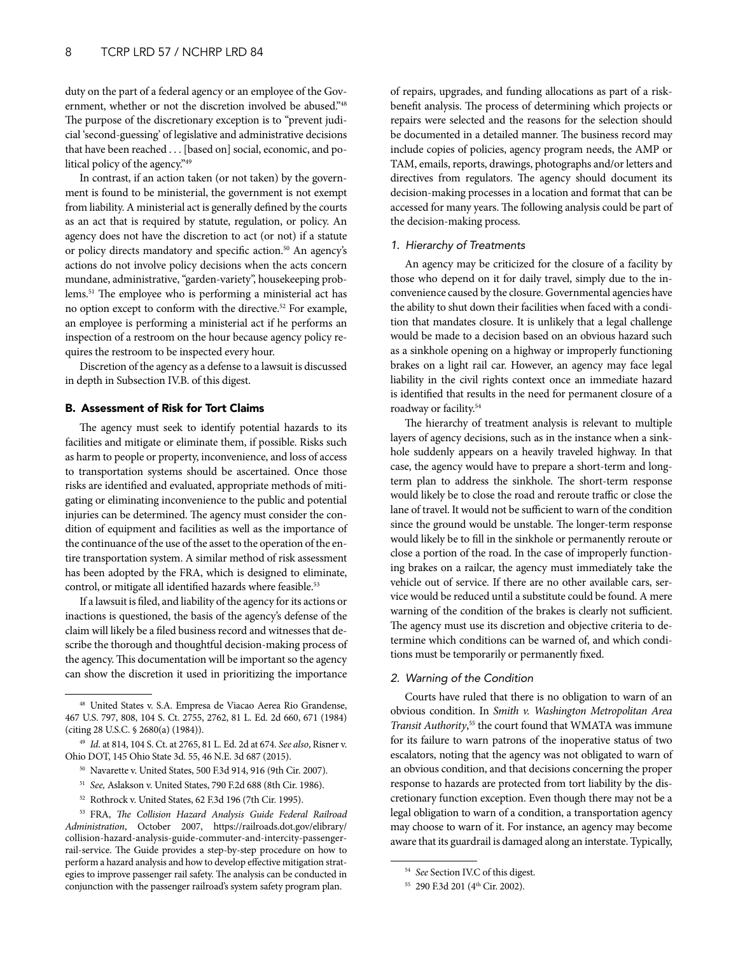<span id="page-7-0"></span>duty on the part of a federal agency or an employee of the Government, whether or not the discretion involved be abused."48 The purpose of the discretionary exception is to "prevent judicial 'second-guessing' of legislative and administrative decisions that have been reached . . . [based on] social, economic, and political policy of the agency."49

In contrast, if an action taken (or not taken) by the government is found to be ministerial, the government is not exempt from liability. A ministerial act is generally defined by the courts as an act that is required by statute, regulation, or policy. An agency does not have the discretion to act (or not) if a statute or policy directs mandatory and specific action.<sup>50</sup> An agency's actions do not involve policy decisions when the acts concern mundane, administrative, "garden-variety", housekeeping problems.51 The employee who is performing a ministerial act has no option except to conform with the directive.52 For example, an employee is performing a ministerial act if he performs an inspection of a restroom on the hour because agency policy requires the restroom to be inspected every hour.

Discretion of the agency as a defense to a lawsuit is discussed in depth in Subsection IV.B. of this digest.

## B. Assessment of Risk for Tort Claims

The agency must seek to identify potential hazards to its facilities and mitigate or eliminate them, if possible. Risks such as harm to people or property, inconvenience, and loss of access to transportation systems should be ascertained. Once those risks are identified and evaluated, appropriate methods of mitigating or eliminating inconvenience to the public and potential injuries can be determined. The agency must consider the condition of equipment and facilities as well as the importance of the continuance of the use of the asset to the operation of the entire transportation system. A similar method of risk assessment has been adopted by the FRA, which is designed to eliminate, control, or mitigate all identified hazards where feasible.<sup>53</sup>

If a lawsuit is filed, and liability of the agency for its actions or inactions is questioned, the basis of the agency's defense of the claim will likely be a filed business record and witnesses that describe the thorough and thoughtful decision-making process of the agency. This documentation will be important so the agency can show the discretion it used in prioritizing the importance

- <sup>50</sup> Navarette v. United States, 500 F.3d 914, 916 (9th Cir. 2007).
- <sup>51</sup> *See,* Aslakson v. United States, 790 F.2d 688 (8th Cir. 1986).
- <sup>52</sup> Rothrock v. United States, 62 F.3d 196 (7th Cir. 1995).

of repairs, upgrades, and funding allocations as part of a riskbenefit analysis. The process of determining which projects or repairs were selected and the reasons for the selection should be documented in a detailed manner. The business record may include copies of policies, agency program needs, the AMP or TAM, emails, reports, drawings, photographs and/or letters and directives from regulators. The agency should document its decision-making processes in a location and format that can be accessed for many years. The following analysis could be part of the decision-making process.

## *1. Hierarchy of Treatments*

An agency may be criticized for the closure of a facility by those who depend on it for daily travel, simply due to the inconvenience caused by the closure. Governmental agencies have the ability to shut down their facilities when faced with a condition that mandates closure. It is unlikely that a legal challenge would be made to a decision based on an obvious hazard such as a sinkhole opening on a highway or improperly functioning brakes on a light rail car. However, an agency may face legal liability in the civil rights context once an immediate hazard is identified that results in the need for permanent closure of a roadway or facility.<sup>54</sup>

The hierarchy of treatment analysis is relevant to multiple layers of agency decisions, such as in the instance when a sinkhole suddenly appears on a heavily traveled highway. In that case, the agency would have to prepare a short-term and longterm plan to address the sinkhole. The short-term response would likely be to close the road and reroute traffic or close the lane of travel. It would not be sufficient to warn of the condition since the ground would be unstable. The longer-term response would likely be to fill in the sinkhole or permanently reroute or close a portion of the road. In the case of improperly functioning brakes on a railcar, the agency must immediately take the vehicle out of service. If there are no other available cars, service would be reduced until a substitute could be found. A mere warning of the condition of the brakes is clearly not sufficient. The agency must use its discretion and objective criteria to determine which conditions can be warned of, and which conditions must be temporarily or permanently fixed.

## *2. Warning of the Condition*

Courts have ruled that there is no obligation to warn of an obvious condition. In *Smith v. Washington Metropolitan Area Transit Authority*, 55 the court found that WMATA was immune for its failure to warn patrons of the inoperative status of two escalators, noting that the agency was not obligated to warn of an obvious condition, and that decisions concerning the proper response to hazards are protected from tort liability by the discretionary function exception. Even though there may not be a legal obligation to warn of a condition, a transportation agency may choose to warn of it. For instance, an agency may become aware that its guardrail is damaged along an interstate. Typically,

<sup>48</sup> United States v. S.A. Empresa de Viacao Aerea Rio Grandense, 467 U.S. 797, 808, 104 S. Ct. 2755, 2762, 81 L. Ed. 2d 660, 671 (1984) (citing 28 U.S.C. § 2680(a) (1984)).

<sup>49</sup> *Id*. at 814, 104 S. Ct. at 2765, 81 L. Ed. 2d at 674. *See also*, Risner v. Ohio DOT, 145 Ohio State 3d. 55, 46 N.E. 3d 687 (2015).

<sup>53</sup> FRA, *The Collision Hazard Analysis Guide Federal Railroad Administration*, October 2007, https://railroads.dot.gov/elibrary/ collision-hazard-analysis-guide-commuter-and-intercity-passengerrail-service. The Guide provides a step-by-step procedure on how to perform a hazard analysis and how to develop effective mitigation strategies to improve passenger rail safety. The analysis can be conducted in conjunction with the passenger railroad's system safety program plan.

<sup>54</sup> *See* Section IV.C of this digest.

<sup>55 290</sup> F.3d 201 (4th Cir. 2002).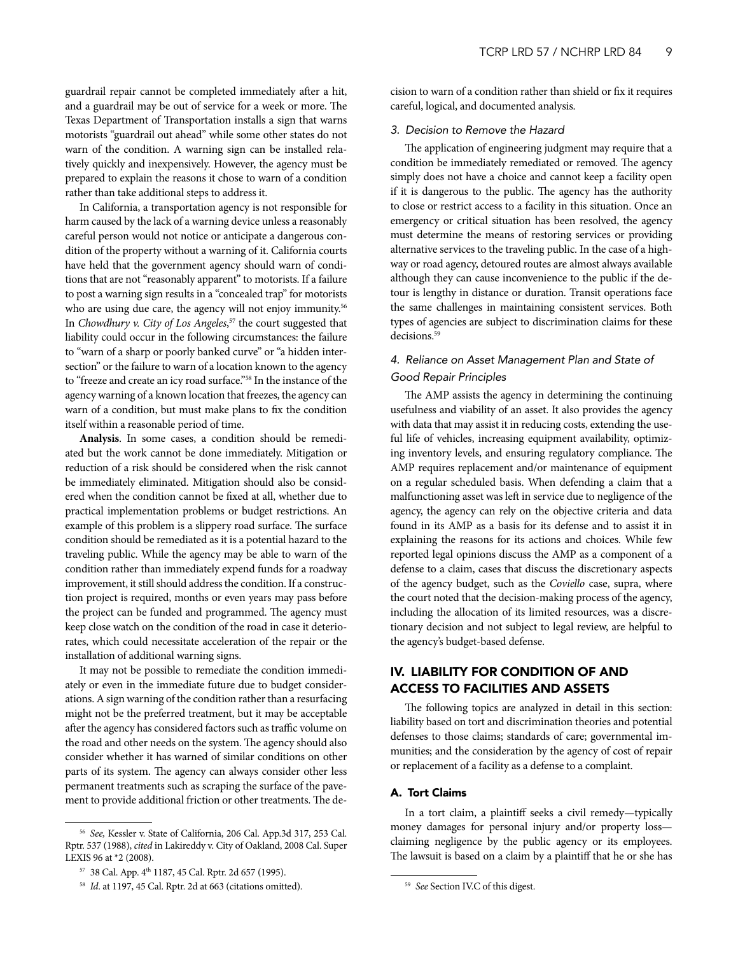<span id="page-8-0"></span>guardrail repair cannot be completed immediately after a hit, and a guardrail may be out of service for a week or more. The Texas Department of Transportation installs a sign that warns motorists "guardrail out ahead" while some other states do not warn of the condition. A warning sign can be installed relatively quickly and inexpensively. However, the agency must be prepared to explain the reasons it chose to warn of a condition rather than take additional steps to address it.

In California, a transportation agency is not responsible for harm caused by the lack of a warning device unless a reasonably careful person would not notice or anticipate a dangerous condition of the property without a warning of it. California courts have held that the government agency should warn of conditions that are not "reasonably apparent" to motorists. If a failure to post a warning sign results in a "concealed trap" for motorists who are using due care, the agency will not enjoy immunity.<sup>56</sup> In *Chowdhury v. City of Los Angeles*, 57 the court suggested that liability could occur in the following circumstances: the failure to "warn of a sharp or poorly banked curve" or "a hidden intersection" or the failure to warn of a location known to the agency to "freeze and create an icy road surface."58 In the instance of the agency warning of a known location that freezes, the agency can warn of a condition, but must make plans to fix the condition itself within a reasonable period of time.

**Analysis**. In some cases, a condition should be remediated but the work cannot be done immediately. Mitigation or reduction of a risk should be considered when the risk cannot be immediately eliminated. Mitigation should also be considered when the condition cannot be fixed at all, whether due to practical implementation problems or budget restrictions. An example of this problem is a slippery road surface. The surface condition should be remediated as it is a potential hazard to the traveling public. While the agency may be able to warn of the condition rather than immediately expend funds for a roadway improvement, it still should address the condition. If a construction project is required, months or even years may pass before the project can be funded and programmed. The agency must keep close watch on the condition of the road in case it deteriorates, which could necessitate acceleration of the repair or the installation of additional warning signs.

It may not be possible to remediate the condition immediately or even in the immediate future due to budget considerations. A sign warning of the condition rather than a resurfacing might not be the preferred treatment, but it may be acceptable after the agency has considered factors such as traffic volume on the road and other needs on the system. The agency should also consider whether it has warned of similar conditions on other parts of its system. The agency can always consider other less permanent treatments such as scraping the surface of the pavement to provide additional friction or other treatments. The decision to warn of a condition rather than shield or fix it requires careful, logical, and documented analysis.

#### *3. Decision to Remove the Hazard*

The application of engineering judgment may require that a condition be immediately remediated or removed. The agency simply does not have a choice and cannot keep a facility open if it is dangerous to the public. The agency has the authority to close or restrict access to a facility in this situation. Once an emergency or critical situation has been resolved, the agency must determine the means of restoring services or providing alternative services to the traveling public. In the case of a highway or road agency, detoured routes are almost always available although they can cause inconvenience to the public if the detour is lengthy in distance or duration. Transit operations face the same challenges in maintaining consistent services. Both types of agencies are subject to discrimination claims for these decisions.<sup>59</sup>

## *4. Reliance on Asset Management Plan and State of Good Repair Principles*

The AMP assists the agency in determining the continuing usefulness and viability of an asset. It also provides the agency with data that may assist it in reducing costs, extending the useful life of vehicles, increasing equipment availability, optimizing inventory levels, and ensuring regulatory compliance. The AMP requires replacement and/or maintenance of equipment on a regular scheduled basis. When defending a claim that a malfunctioning asset was left in service due to negligence of the agency, the agency can rely on the objective criteria and data found in its AMP as a basis for its defense and to assist it in explaining the reasons for its actions and choices. While few reported legal opinions discuss the AMP as a component of a defense to a claim, cases that discuss the discretionary aspects of the agency budget, such as the *Coviello* case, supra, where the court noted that the decision-making process of the agency, including the allocation of its limited resources, was a discretionary decision and not subject to legal review, are helpful to the agency's budget-based defense.

## IV. LIABILITY FOR CONDITION OF AND ACCESS TO FACILITIES AND ASSETS

The following topics are analyzed in detail in this section: liability based on tort and discrimination theories and potential defenses to those claims; standards of care; governmental immunities; and the consideration by the agency of cost of repair or replacement of a facility as a defense to a complaint.

## A. Tort Claims

In a tort claim, a plaintiff seeks a civil remedy—typically money damages for personal injury and/or property loss claiming negligence by the public agency or its employees. The lawsuit is based on a claim by a plaintiff that he or she has

<sup>56</sup> *See,* Kessler v. State of California, 206 Cal. App.3d 317, 253 Cal. Rptr. 537 (1988), *cited* in Lakireddy v. City of Oakland, 2008 Cal. Super LEXIS 96 at \*2 (2008).

<sup>57 38</sup> Cal. App. 4th 1187, 45 Cal. Rptr. 2d 657 (1995).

<sup>&</sup>lt;sup>58</sup> *Id.* at 1197, 45 Cal. Rptr. 2d at 663 (citations omitted).

<sup>59</sup> *See* Section IV.C of this digest.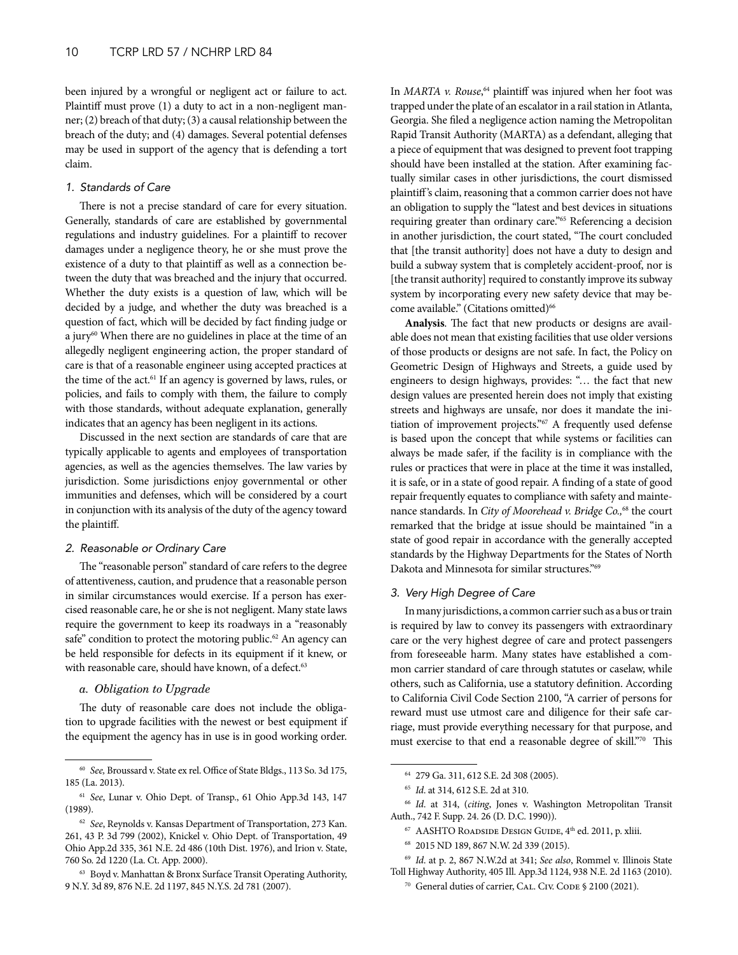been injured by a wrongful or negligent act or failure to act. Plaintiff must prove (1) a duty to act in a non-negligent manner; (2) breach of that duty; (3) a causal relationship between the breach of the duty; and (4) damages. Several potential defenses may be used in support of the agency that is defending a tort claim.

#### *1. Standards of Care*

There is not a precise standard of care for every situation. Generally, standards of care are established by governmental regulations and industry guidelines. For a plaintiff to recover damages under a negligence theory, he or she must prove the existence of a duty to that plaintiff as well as a connection between the duty that was breached and the injury that occurred. Whether the duty exists is a question of law, which will be decided by a judge, and whether the duty was breached is a question of fact, which will be decided by fact finding judge or a jury<sup>60</sup> When there are no guidelines in place at the time of an allegedly negligent engineering action, the proper standard of care is that of a reasonable engineer using accepted practices at the time of the act.<sup>61</sup> If an agency is governed by laws, rules, or policies, and fails to comply with them, the failure to comply with those standards, without adequate explanation, generally indicates that an agency has been negligent in its actions.

Discussed in the next section are standards of care that are typically applicable to agents and employees of transportation agencies, as well as the agencies themselves. The law varies by jurisdiction. Some jurisdictions enjoy governmental or other immunities and defenses, which will be considered by a court in conjunction with its analysis of the duty of the agency toward the plaintiff.

## *2. Reasonable or Ordinary Care*

The "reasonable person" standard of care refers to the degree of attentiveness, caution, and prudence that a reasonable person in similar circumstances would exercise. If a person has exercised reasonable care, he or she is not negligent. Many state laws require the government to keep its roadways in a "reasonably safe" condition to protect the motoring public.<sup>62</sup> An agency can be held responsible for defects in its equipment if it knew, or with reasonable care, should have known, of a defect.<sup>63</sup>

## *a. Obligation to Upgrade*

The duty of reasonable care does not include the obligation to upgrade facilities with the newest or best equipment if the equipment the agency has in use is in good working order.

In *MARTA v. Rouse*, 64 plaintiff was injured when her foot was trapped under the plate of an escalator in a rail station in Atlanta, Georgia. She filed a negligence action naming the Metropolitan Rapid Transit Authority (MARTA) as a defendant, alleging that a piece of equipment that was designed to prevent foot trapping should have been installed at the station. After examining factually similar cases in other jurisdictions, the court dismissed plaintiff's claim, reasoning that a common carrier does not have an obligation to supply the "latest and best devices in situations requiring greater than ordinary care."65 Referencing a decision in another jurisdiction, the court stated, "The court concluded that [the transit authority] does not have a duty to design and build a subway system that is completely accident-proof, nor is [the transit authority] required to constantly improve its subway system by incorporating every new safety device that may become available." (Citations omitted)<sup>66</sup>

**Analysis**. The fact that new products or designs are available does not mean that existing facilities that use older versions of those products or designs are not safe. In fact, the Policy on Geometric Design of Highways and Streets, a guide used by engineers to design highways, provides: "… the fact that new design values are presented herein does not imply that existing streets and highways are unsafe, nor does it mandate the initiation of improvement projects."67 A frequently used defense is based upon the concept that while systems or facilities can always be made safer, if the facility is in compliance with the rules or practices that were in place at the time it was installed, it is safe, or in a state of good repair. A finding of a state of good repair frequently equates to compliance with safety and maintenance standards. In *City of Moorehead v. Bridge Co.,*68 the court remarked that the bridge at issue should be maintained "in a state of good repair in accordance with the generally accepted standards by the Highway Departments for the States of North Dakota and Minnesota for similar structures."69

## *3. Very High Degree of Care*

In many jurisdictions, a common carrier such as a bus or train is required by law to convey its passengers with extraordinary care or the very highest degree of care and protect passengers from foreseeable harm. Many states have established a common carrier standard of care through statutes or caselaw, while others, such as California, use a statutory definition. According to California Civil Code Section 2100, "A carrier of persons for reward must use utmost care and diligence for their safe carriage, must provide everything necessary for that purpose, and must exercise to that end a reasonable degree of skill."70 This

<sup>69</sup> *Id*. at p. 2, 867 N.W.2d at 341; *See also*, Rommel v. Illinois State Toll Highway Authority, 405 Ill. App.3d 1124, 938 N.E. 2d 1163 (2010).

<sup>60</sup> *See,* Broussard v. State ex rel. Office of State Bldgs., 113 So. 3d 175, 185 (La. 2013).

<sup>61</sup> *See*, Lunar v. Ohio Dept. of Transp., 61 Ohio App.3d 143, 147 (1989).

<sup>62</sup> *See*, Reynolds v. Kansas Department of Transportation, 273 Kan. 261, 43 P. 3d 799 (2002), Knickel v. Ohio Dept. of Transportation, 49 Ohio App.2d 335, 361 N.E. 2d 486 (10th Dist. 1976), and Irion v. State, 760 So. 2d 1220 (La. Ct. App. 2000).

<sup>63</sup> Boyd v. Manhattan & Bronx Surface Transit Operating Authority, 9 N.Y. 3d 89, 876 N.E. 2d 1197, 845 N.Y.S. 2d 781 (2007).

<sup>64</sup> 279 Ga. 311, 612 S.E. 2d 308 (2005).

<sup>65</sup> *Id*. at 314, 612 S.E. 2d at 310.

<sup>66</sup> *Id*. at 314, (*citing*, Jones v. Washington Metropolitan Transit Auth., 742 F. Supp. 24. 26 (D. D.C. 1990)).

<sup>67</sup> AASHTO Roadside Design Guide, 4th ed. 2011, p. xliii.

<sup>68</sup> 2015 ND 189, 867 N.W. 2d 339 (2015).

<sup>&</sup>lt;sup>70</sup> General duties of carrier, CAL. CIV. CODE § 2100 (2021).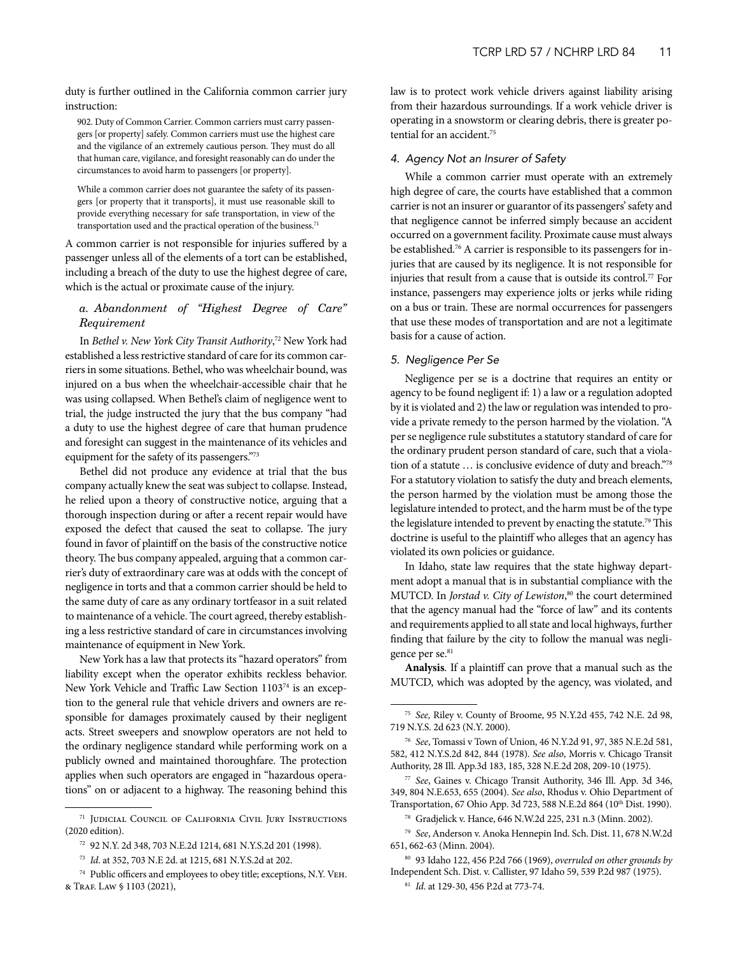duty is further outlined in the California common carrier jury instruction:

902. Duty of Common Carrier. Common carriers must carry passengers [or property] safely. Common carriers must use the highest care and the vigilance of an extremely cautious person. They must do all that human care, vigilance, and foresight reasonably can do under the circumstances to avoid harm to passengers [or property].

While a common carrier does not guarantee the safety of its passengers [or property that it transports], it must use reasonable skill to provide everything necessary for safe transportation, in view of the transportation used and the practical operation of the business.<sup>71</sup>

A common carrier is not responsible for injuries suffered by a passenger unless all of the elements of a tort can be established, including a breach of the duty to use the highest degree of care, which is the actual or proximate cause of the injury.

## *a. Abandonment of "Highest Degree of Care" Requirement*

In *Bethel v. New York City Transit Authority*, 72 New York had established a less restrictive standard of care for its common carriers in some situations. Bethel, who was wheelchair bound, was injured on a bus when the wheelchair-accessible chair that he was using collapsed. When Bethel's claim of negligence went to trial, the judge instructed the jury that the bus company "had a duty to use the highest degree of care that human prudence and foresight can suggest in the maintenance of its vehicles and equipment for the safety of its passengers."73

Bethel did not produce any evidence at trial that the bus company actually knew the seat was subject to collapse. Instead, he relied upon a theory of constructive notice, arguing that a thorough inspection during or after a recent repair would have exposed the defect that caused the seat to collapse. The jury found in favor of plaintiff on the basis of the constructive notice theory. The bus company appealed, arguing that a common carrier's duty of extraordinary care was at odds with the concept of negligence in torts and that a common carrier should be held to the same duty of care as any ordinary tortfeasor in a suit related to maintenance of a vehicle. The court agreed, thereby establishing a less restrictive standard of care in circumstances involving maintenance of equipment in New York.

New York has a law that protects its "hazard operators" from liability except when the operator exhibits reckless behavior. New York Vehicle and Traffic Law Section 110374 is an exception to the general rule that vehicle drivers and owners are responsible for damages proximately caused by their negligent acts. Street sweepers and snowplow operators are not held to the ordinary negligence standard while performing work on a publicly owned and maintained thoroughfare. The protection applies when such operators are engaged in "hazardous operations" on or adjacent to a highway. The reasoning behind this law is to protect work vehicle drivers against liability arising from their hazardous surroundings. If a work vehicle driver is operating in a snowstorm or clearing debris, there is greater potential for an accident.<sup>75</sup>

#### *4. Agency Not an Insurer of Safety*

While a common carrier must operate with an extremely high degree of care, the courts have established that a common carrier is not an insurer or guarantor of its passengers' safety and that negligence cannot be inferred simply because an accident occurred on a government facility. Proximate cause must always be established.<sup>76</sup> A carrier is responsible to its passengers for injuries that are caused by its negligence. It is not responsible for injuries that result from a cause that is outside its control.<sup>77</sup> For instance, passengers may experience jolts or jerks while riding on a bus or train. These are normal occurrences for passengers that use these modes of transportation and are not a legitimate basis for a cause of action.

#### *5. Negligence Per Se*

Negligence per se is a doctrine that requires an entity or agency to be found negligent if: 1) a law or a regulation adopted by it is violated and 2) the law or regulation was intended to provide a private remedy to the person harmed by the violation. "A per se negligence rule substitutes a statutory standard of care for the ordinary prudent person standard of care, such that a violation of a statute … is conclusive evidence of duty and breach."78 For a statutory violation to satisfy the duty and breach elements, the person harmed by the violation must be among those the legislature intended to protect, and the harm must be of the type the legislature intended to prevent by enacting the statute.<sup>79</sup> This doctrine is useful to the plaintiff who alleges that an agency has violated its own policies or guidance.

In Idaho, state law requires that the state highway department adopt a manual that is in substantial compliance with the MUTCD. In *Jorstad v. City of Lewiston*, 80 the court determined that the agency manual had the "force of law" and its contents and requirements applied to all state and local highways, further finding that failure by the city to follow the manual was negligence per se.<sup>81</sup>

**Analysis**. If a plaintiff can prove that a manual such as the MUTCD, which was adopted by the agency, was violated, and

<sup>&</sup>lt;sup>71</sup> Judicial Council of California Civil Jury Instructions (2020 edition).

<sup>72</sup> 92 N.Y. 2d 348, 703 N.E.2d 1214, 681 N.Y.S.2d 201 (1998).

<sup>73</sup> *Id*. at 352, 703 N.E 2d. at 1215, 681 N.Y.S.2d at 202.

<sup>74</sup> Public officers and employees to obey title; exceptions, N.Y. Veh. & Traf. Law § 1103 (2021),

<sup>75</sup> *See,* Riley v. County of Broome, 95 N.Y.2d 455, 742 N.E. 2d 98, 719 N.Y.S. 2d 623 (N.Y. 2000).

<sup>76</sup> *See*, Tomassi v Town of Union, 46 N.Y.2d 91, 97, 385 N.E.2d 581, 582, 412 N.Y.S.2d 842, 844 (1978). *See also*, Morris v. Chicago Transit Authority, 28 Ill. App.3d 183, 185, 328 N.E.2d 208, 209-10 (1975).

<sup>77</sup> *See*, Gaines v. Chicago Transit Authority, 346 Ill. App. 3d 346, 349, 804 N.E.653, 655 (2004). *See also*, Rhodus v. Ohio Department of Transportation, 67 Ohio App. 3d 723, 588 N.E.2d 864 (10<sup>th</sup> Dist. 1990).

<sup>78</sup> Gradjelick v. Hance, 646 N.W.2d 225, 231 n.3 (Minn. 2002).

<sup>79</sup> *See*, Anderson v. Anoka Hennepin Ind. Sch. Dist. 11, 678 N.W.2d 651, 662-63 (Minn. 2004).

<sup>80</sup> 93 Idaho 122, 456 P.2d 766 (1969), *overruled on other grounds by* Independent Sch. Dist. v. Callister, 97 Idaho 59, 539 P.2d 987 (1975).

<sup>81</sup> *Id*. at 129-30, 456 P.2d at 773-74.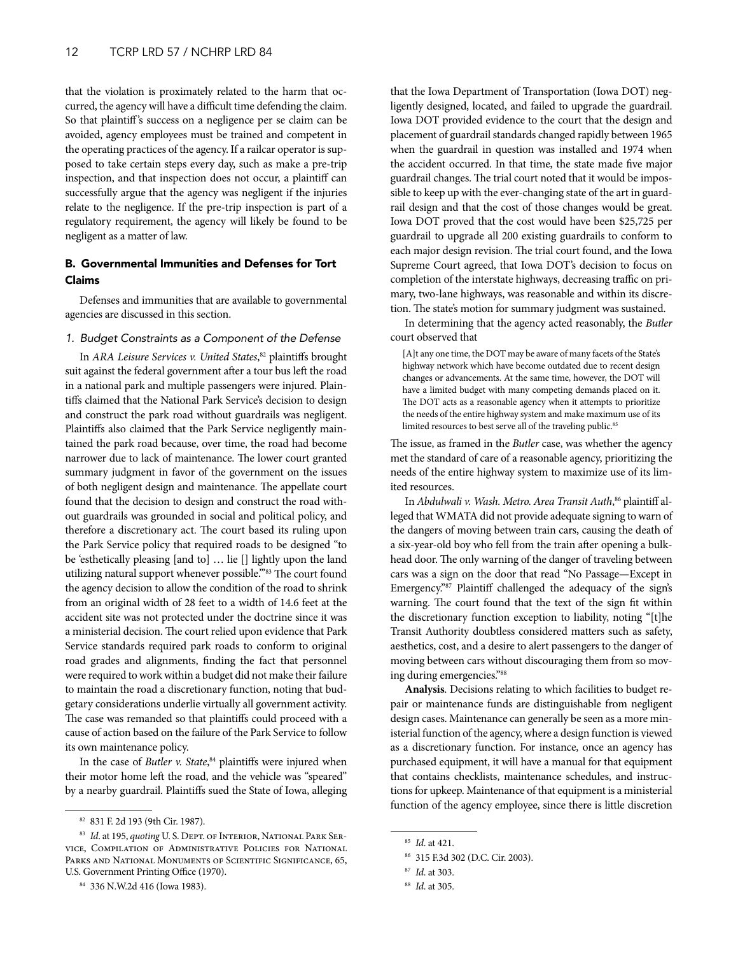<span id="page-11-0"></span>that the violation is proximately related to the harm that occurred, the agency will have a difficult time defending the claim. So that plaintiff's success on a negligence per se claim can be avoided, agency employees must be trained and competent in the operating practices of the agency. If a railcar operator is supposed to take certain steps every day, such as make a pre-trip inspection, and that inspection does not occur, a plaintiff can successfully argue that the agency was negligent if the injuries relate to the negligence. If the pre-trip inspection is part of a regulatory requirement, the agency will likely be found to be negligent as a matter of law.

## B. Governmental Immunities and Defenses for Tort Claims

Defenses and immunities that are available to governmental agencies are discussed in this section.

## *1. Budget Constraints as a Component of the Defense*

In *ARA Leisure Services v. United States*, 82 plaintiffs brought suit against the federal government after a tour bus left the road in a national park and multiple passengers were injured. Plaintiffs claimed that the National Park Service's decision to design and construct the park road without guardrails was negligent. Plaintiffs also claimed that the Park Service negligently maintained the park road because, over time, the road had become narrower due to lack of maintenance. The lower court granted summary judgment in favor of the government on the issues of both negligent design and maintenance. The appellate court found that the decision to design and construct the road without guardrails was grounded in social and political policy, and therefore a discretionary act. The court based its ruling upon the Park Service policy that required roads to be designed "to be 'esthetically pleasing [and to] … lie [] lightly upon the land utilizing natural support whenever possible."<sup>83</sup> The court found the agency decision to allow the condition of the road to shrink from an original width of 28 feet to a width of 14.6 feet at the accident site was not protected under the doctrine since it was a ministerial decision. The court relied upon evidence that Park Service standards required park roads to conform to original road grades and alignments, finding the fact that personnel were required to work within a budget did not make their failure to maintain the road a discretionary function, noting that budgetary considerations underlie virtually all government activity. The case was remanded so that plaintiffs could proceed with a cause of action based on the failure of the Park Service to follow its own maintenance policy.

In the case of *Butler v. State*, 84 plaintiffs were injured when their motor home left the road, and the vehicle was "speared" by a nearby guardrail. Plaintiffs sued the State of Iowa, alleging

that the Iowa Department of Transportation (Iowa DOT) negligently designed, located, and failed to upgrade the guardrail. Iowa DOT provided evidence to the court that the design and placement of guardrail standards changed rapidly between 1965 when the guardrail in question was installed and 1974 when the accident occurred. In that time, the state made five major guardrail changes. The trial court noted that it would be impossible to keep up with the ever-changing state of the art in guardrail design and that the cost of those changes would be great. Iowa DOT proved that the cost would have been \$25,725 per guardrail to upgrade all 200 existing guardrails to conform to each major design revision. The trial court found, and the Iowa Supreme Court agreed, that Iowa DOT's decision to focus on completion of the interstate highways, decreasing traffic on primary, two-lane highways, was reasonable and within its discretion. The state's motion for summary judgment was sustained.

In determining that the agency acted reasonably, the *Butler* court observed that

[A]t any one time, the DOT may be aware of many facets of the State's highway network which have become outdated due to recent design changes or advancements. At the same time, however, the DOT will have a limited budget with many competing demands placed on it. The DOT acts as a reasonable agency when it attempts to prioritize the needs of the entire highway system and make maximum use of its limited resources to best serve all of the traveling public.<sup>85</sup>

The issue, as framed in the *Butler* case, was whether the agency met the standard of care of a reasonable agency, prioritizing the needs of the entire highway system to maximize use of its limited resources.

In *Abdulwali v. Wash. Metro. Area Transit Auth*, 86 plaintiff alleged that WMATA did not provide adequate signing to warn of the dangers of moving between train cars, causing the death of a six-year-old boy who fell from the train after opening a bulkhead door. The only warning of the danger of traveling between cars was a sign on the door that read "No Passage—Except in Emergency."87 Plaintiff challenged the adequacy of the sign's warning. The court found that the text of the sign fit within the discretionary function exception to liability, noting "[t]he Transit Authority doubtless considered matters such as safety, aesthetics, cost, and a desire to alert passengers to the danger of moving between cars without discouraging them from so moving during emergencies."88

**Analysis**. Decisions relating to which facilities to budget repair or maintenance funds are distinguishable from negligent design cases. Maintenance can generally be seen as a more ministerial function of the agency, where a design function is viewed as a discretionary function. For instance, once an agency has purchased equipment, it will have a manual for that equipment that contains checklists, maintenance schedules, and instructions for upkeep. Maintenance of that equipment is a ministerial function of the agency employee, since there is little discretion

<sup>82</sup> 831 F. 2d 193 (9th Cir. 1987).

<sup>83</sup> *Id.* at 195, *quoting* U.S. DEPT. OF INTERIOR, NATIONAL PARK SERvice, Compilation of Administrative Policies for National Parks and National Monuments of Scientific Significance, 65, U.S. Government Printing Office (1970).

<sup>84</sup> 336 N.W.2d 416 (Iowa 1983).

<sup>85</sup> *Id*. at 421.

<sup>86</sup> 315 F.3d 302 (D.C. Cir. 2003).

<sup>87</sup> *Id*. at 303.

<sup>88</sup> *Id*. at 305.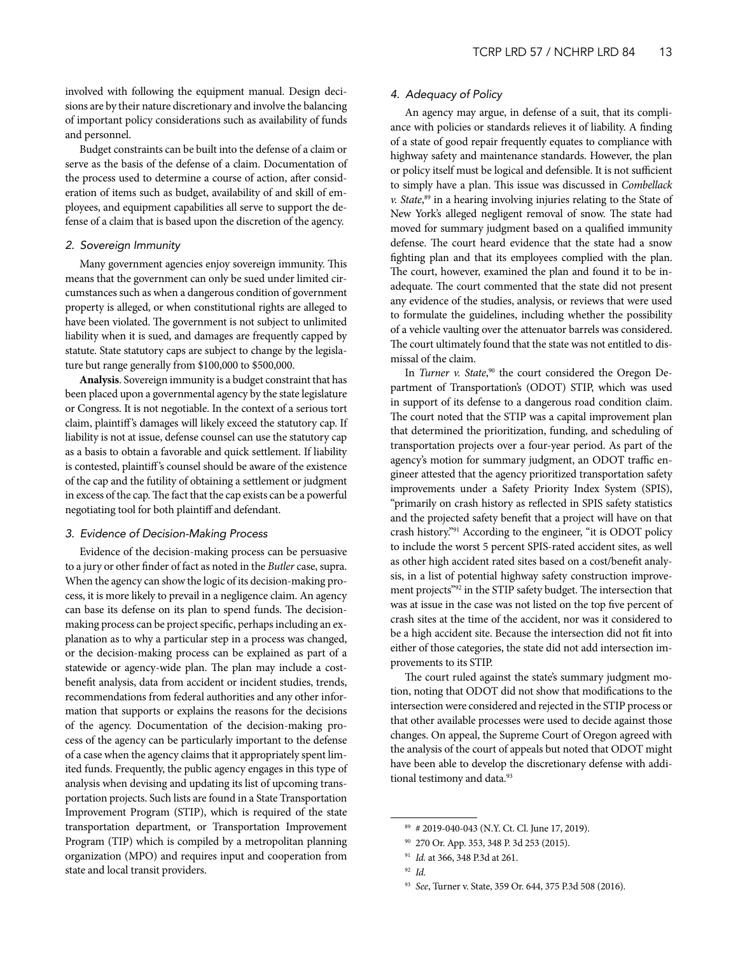involved with following the equipment manual. Design decisions are by their nature discretionary and involve the balancing of important policy considerations such as availability of funds and personnel.

Budget constraints can be built into the defense of a claim or serve as the basis of the defense of a claim. Documentation of the process used to determine a course of action, after consideration of items such as budget, availability of and skill of employees, and equipment capabilities all serve to support the defense of a claim that is based upon the discretion of the agency.

## *2. Sovereign Immunity*

Many government agencies enjoy sovereign immunity. This means that the government can only be sued under limited circumstances such as when a dangerous condition of government property is alleged, or when constitutional rights are alleged to have been violated. The government is not subject to unlimited liability when it is sued, and damages are frequently capped by statute. State statutory caps are subject to change by the legislature but range generally from \$100,000 to \$500,000.

**Analysis**. Sovereign immunity is a budget constraint that has been placed upon a governmental agency by the state legislature or Congress. It is not negotiable. In the context of a serious tort claim, plaintiff's damages will likely exceed the statutory cap. If liability is not at issue, defense counsel can use the statutory cap as a basis to obtain a favorable and quick settlement. If liability is contested, plaintiff's counsel should be aware of the existence of the cap and the futility of obtaining a settlement or judgment in excess of the cap. The fact that the cap exists can be a powerful negotiating tool for both plaintiff and defendant.

#### *3. Evidence of Decision-Making Process*

Evidence of the decision-making process can be persuasive to a jury or other finder of fact as noted in the *Butler* case, supra. When the agency can show the logic of its decision-making process, it is more likely to prevail in a negligence claim. An agency can base its defense on its plan to spend funds. The decisionmaking process can be project specific, perhaps including an explanation as to why a particular step in a process was changed, or the decision-making process can be explained as part of a statewide or agency-wide plan. The plan may include a costbenefit analysis, data from accident or incident studies, trends, recommendations from federal authorities and any other information that supports or explains the reasons for the decisions of the agency. Documentation of the decision-making process of the agency can be particularly important to the defense of a case when the agency claims that it appropriately spent limited funds. Frequently, the public agency engages in this type of analysis when devising and updating its list of upcoming transportation projects. Such lists are found in a State Transportation Improvement Program (STIP), which is required of the state transportation department, or Transportation Improvement Program (TIP) which is compiled by a metropolitan planning organization (MPO) and requires input and cooperation from state and local transit providers.

## *4. Adequacy of Policy*

An agency may argue, in defense of a suit, that its compliance with policies or standards relieves it of liability. A finding of a state of good repair frequently equates to compliance with highway safety and maintenance standards. However, the plan or policy itself must be logical and defensible. It is not sufficient to simply have a plan. This issue was discussed in *Combellack v. State*, 89 in a hearing involving injuries relating to the State of New York's alleged negligent removal of snow. The state had moved for summary judgment based on a qualified immunity defense. The court heard evidence that the state had a snow fighting plan and that its employees complied with the plan. The court, however, examined the plan and found it to be inadequate. The court commented that the state did not present any evidence of the studies, analysis, or reviews that were used to formulate the guidelines, including whether the possibility of a vehicle vaulting over the attenuator barrels was considered. The court ultimately found that the state was not entitled to dismissal of the claim.

In *Turner v. State*,<sup>90</sup> the court considered the Oregon Department of Transportation's (ODOT) STIP, which was used in support of its defense to a dangerous road condition claim. The court noted that the STIP was a capital improvement plan that determined the prioritization, funding, and scheduling of transportation projects over a four-year period. As part of the agency's motion for summary judgment, an ODOT traffic engineer attested that the agency prioritized transportation safety improvements under a Safety Priority Index System (SPIS), "primarily on crash history as reflected in SPIS safety statistics and the projected safety benefit that a project will have on that crash history."91 According to the engineer, "it is ODOT policy to include the worst 5 percent SPIS-rated accident sites, as well as other high accident rated sites based on a cost/benefit analysis, in a list of potential highway safety construction improvement projects"92 in the STIP safety budget. The intersection that was at issue in the case was not listed on the top five percent of crash sites at the time of the accident, nor was it considered to be a high accident site. Because the intersection did not fit into either of those categories, the state did not add intersection improvements to its STIP.

The court ruled against the state's summary judgment motion, noting that ODOT did not show that modifications to the intersection were considered and rejected in the STIP process or that other available processes were used to decide against those changes. On appeal, the Supreme Court of Oregon agreed with the analysis of the court of appeals but noted that ODOT might have been able to develop the discretionary defense with additional testimony and data.<sup>93</sup>

<sup>89</sup> # 2019-040-043 (N.Y. Ct. Cl. June 17, 2019).

<sup>90</sup> 270 Or. App. 353, 348 P. 3d 253 (2015).

<sup>91</sup> *Id.* at 366, 348 P.3d at 261.

<sup>92</sup> *Id.*

<sup>93</sup> *See*, Turner v. State, 359 Or. 644, 375 P.3d 508 (2016).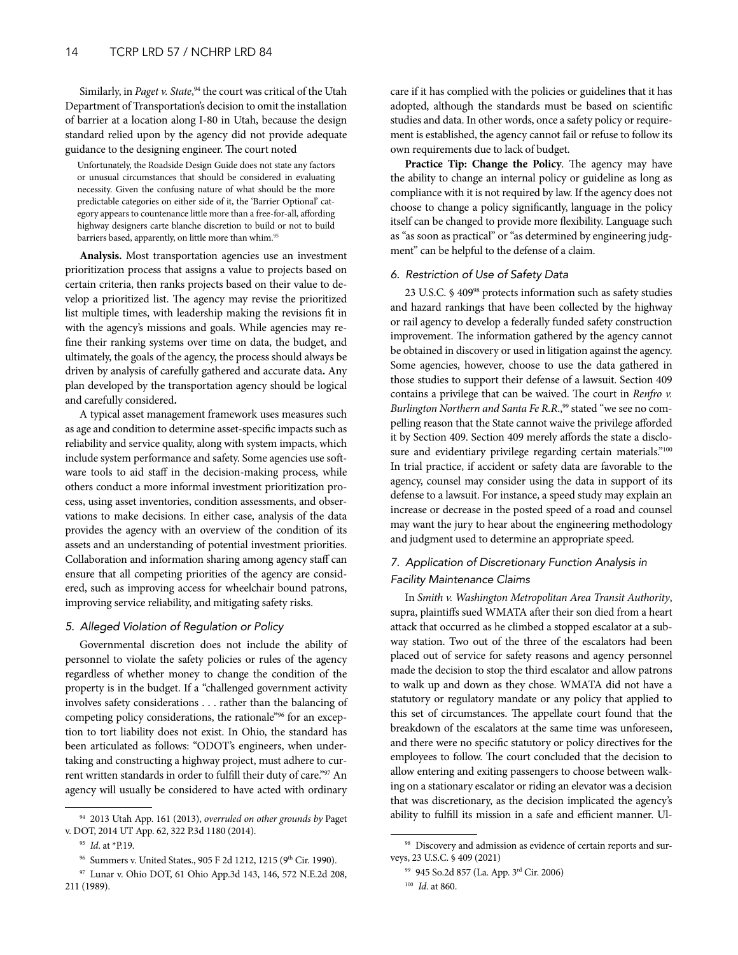Similarly, in *Paget v. State*, 94 the court was critical of the Utah Department of Transportation's decision to omit the installation of barrier at a location along I-80 in Utah, because the design standard relied upon by the agency did not provide adequate guidance to the designing engineer. The court noted

Unfortunately, the Roadside Design Guide does not state any factors or unusual circumstances that should be considered in evaluating necessity. Given the confusing nature of what should be the more predictable categories on either side of it, the 'Barrier Optional' category appears to countenance little more than a free-for-all, affording highway designers carte blanche discretion to build or not to build barriers based, apparently, on little more than whim.<sup>95</sup>

**Analysis.** Most transportation agencies use an investment prioritization process that assigns a value to projects based on certain criteria, then ranks projects based on their value to develop a prioritized list. The agency may revise the prioritized list multiple times, with leadership making the revisions fit in with the agency's missions and goals. While agencies may refine their ranking systems over time on data, the budget, and ultimately, the goals of the agency, the process should always be driven by analysis of carefully gathered and accurate data**.** Any plan developed by the transportation agency should be logical and carefully considered**.** 

A typical asset management framework uses measures such as age and condition to determine asset-specific impacts such as reliability and service quality, along with system impacts, which include system performance and safety. Some agencies use software tools to aid staff in the decision-making process, while others conduct a more informal investment prioritization process, using asset inventories, condition assessments, and observations to make decisions. In either case, analysis of the data provides the agency with an overview of the condition of its assets and an understanding of potential investment priorities. Collaboration and information sharing among agency staff can ensure that all competing priorities of the agency are considered, such as improving access for wheelchair bound patrons, improving service reliability, and mitigating safety risks.

#### *5. Alleged Violation of Regulation or Policy*

Governmental discretion does not include the ability of personnel to violate the safety policies or rules of the agency regardless of whether money to change the condition of the property is in the budget. If a "challenged government activity involves safety considerations . . . rather than the balancing of competing policy considerations, the rationale"96 for an exception to tort liability does not exist. In Ohio, the standard has been articulated as follows: "ODOT's engineers, when undertaking and constructing a highway project, must adhere to current written standards in order to fulfill their duty of care."97 An agency will usually be considered to have acted with ordinary

care if it has complied with the policies or guidelines that it has adopted, although the standards must be based on scientific studies and data. In other words, once a safety policy or requirement is established, the agency cannot fail or refuse to follow its own requirements due to lack of budget.

**Practice Tip: Change the Policy**. The agency may have the ability to change an internal policy or guideline as long as compliance with it is not required by law. If the agency does not choose to change a policy significantly, language in the policy itself can be changed to provide more flexibility. Language such as "as soon as practical" or "as determined by engineering judgment" can be helpful to the defense of a claim.

## *6. Restriction of Use of Safety Data*

23 U.S.C. § 40998 protects information such as safety studies and hazard rankings that have been collected by the highway or rail agency to develop a federally funded safety construction improvement. The information gathered by the agency cannot be obtained in discovery or used in litigation against the agency. Some agencies, however, choose to use the data gathered in those studies to support their defense of a lawsuit. Section 409 contains a privilege that can be waived. The court in *Renfro v. Burlington Northern and Santa Fe R.R.*,<sup>99</sup> stated "we see no compelling reason that the State cannot waive the privilege afforded it by Section 409. Section 409 merely affords the state a disclosure and evidentiary privilege regarding certain materials."<sup>100</sup> In trial practice, if accident or safety data are favorable to the agency, counsel may consider using the data in support of its defense to a lawsuit. For instance, a speed study may explain an increase or decrease in the posted speed of a road and counsel may want the jury to hear about the engineering methodology and judgment used to determine an appropriate speed.

## *7. Application of Discretionary Function Analysis in Facility Maintenance Claims*

In *Smith v. Washington Metropolitan Area Transit Authority*, supra, plaintiffs sued WMATA after their son died from a heart attack that occurred as he climbed a stopped escalator at a subway station. Two out of the three of the escalators had been placed out of service for safety reasons and agency personnel made the decision to stop the third escalator and allow patrons to walk up and down as they chose. WMATA did not have a statutory or regulatory mandate or any policy that applied to this set of circumstances. The appellate court found that the breakdown of the escalators at the same time was unforeseen, and there were no specific statutory or policy directives for the employees to follow. The court concluded that the decision to allow entering and exiting passengers to choose between walking on a stationary escalator or riding an elevator was a decision that was discretionary, as the decision implicated the agency's ability to fulfill its mission in a safe and efficient manner. Ul-

<sup>94</sup> 2013 Utah App. 161 (2013), *overruled on other grounds by* Paget v. DOT, 2014 UT App. 62, 322 P.3d 1180 (2014).

<sup>95</sup> *Id*. at \*P.19.

<sup>&</sup>lt;sup>96</sup> Summers v. United States., 905 F 2d 1212, 1215 (9<sup>th</sup> Cir. 1990).

<sup>97</sup> Lunar v. Ohio DOT, 61 Ohio App.3d 143, 146, 572 N.E.2d 208, 211 (1989).

<sup>98</sup> Discovery and admission as evidence of certain reports and surveys, 23 U.S.C. § 409 (2021)

<sup>99</sup> 945 So.2d 857 (La. App. 3rd Cir. 2006) <sup>100</sup> *Id*. at 860.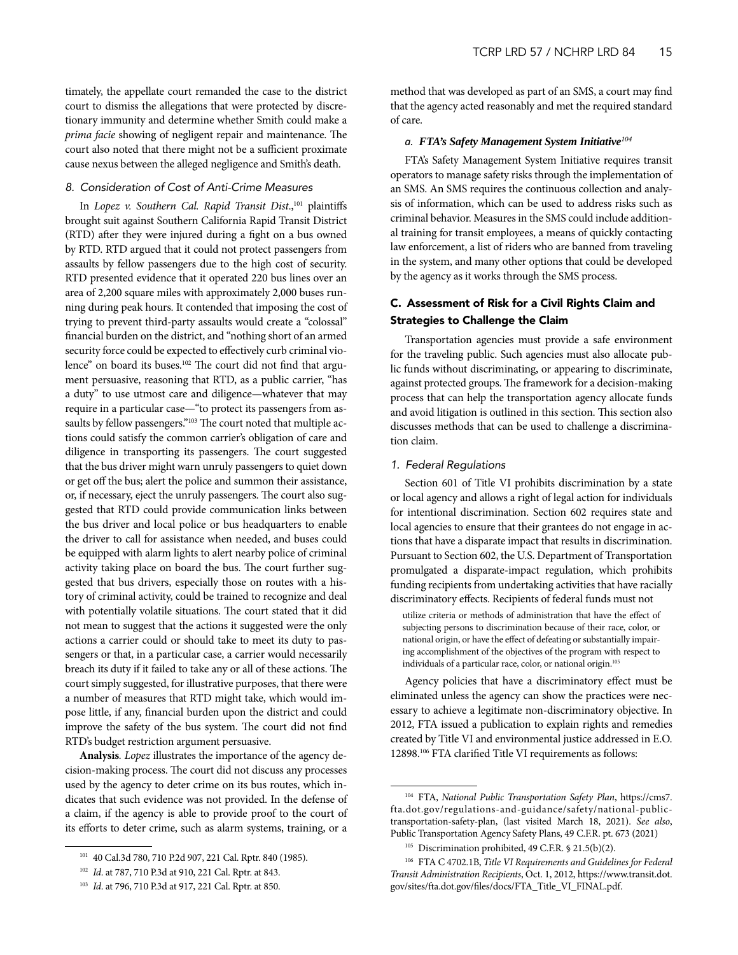<span id="page-14-0"></span>timately, the appellate court remanded the case to the district court to dismiss the allegations that were protected by discretionary immunity and determine whether Smith could make a *prima facie* showing of negligent repair and maintenance. The court also noted that there might not be a sufficient proximate cause nexus between the alleged negligence and Smith's death.

## *8. Consideration of Cost of Anti-Crime Measures*

In *Lopez v. Southern Cal. Rapid Transit Dist.*,<sup>101</sup> plaintiffs brought suit against Southern California Rapid Transit District (RTD) after they were injured during a fight on a bus owned by RTD. RTD argued that it could not protect passengers from assaults by fellow passengers due to the high cost of security. RTD presented evidence that it operated 220 bus lines over an area of 2,200 square miles with approximately 2,000 buses running during peak hours. It contended that imposing the cost of trying to prevent third-party assaults would create a "colossal" financial burden on the district, and "nothing short of an armed security force could be expected to effectively curb criminal violence" on board its buses.<sup>102</sup> The court did not find that argument persuasive, reasoning that RTD, as a public carrier, "has a duty" to use utmost care and diligence—whatever that may require in a particular case—"to protect its passengers from assaults by fellow passengers."<sup>103</sup> The court noted that multiple actions could satisfy the common carrier's obligation of care and diligence in transporting its passengers. The court suggested that the bus driver might warn unruly passengers to quiet down or get off the bus; alert the police and summon their assistance, or, if necessary, eject the unruly passengers. The court also suggested that RTD could provide communication links between the bus driver and local police or bus headquarters to enable the driver to call for assistance when needed, and buses could be equipped with alarm lights to alert nearby police of criminal activity taking place on board the bus. The court further suggested that bus drivers, especially those on routes with a history of criminal activity, could be trained to recognize and deal with potentially volatile situations. The court stated that it did not mean to suggest that the actions it suggested were the only actions a carrier could or should take to meet its duty to passengers or that, in a particular case, a carrier would necessarily breach its duty if it failed to take any or all of these actions. The court simply suggested, for illustrative purposes, that there were a number of measures that RTD might take, which would impose little, if any, financial burden upon the district and could improve the safety of the bus system. The court did not find RTD's budget restriction argument persuasive.

**Analysis***. Lopez* illustrates the importance of the agency decision-making process. The court did not discuss any processes used by the agency to deter crime on its bus routes, which indicates that such evidence was not provided. In the defense of a claim, if the agency is able to provide proof to the court of its efforts to deter crime, such as alarm systems, training, or a

method that was developed as part of an SMS, a court may find that the agency acted reasonably and met the required standard of care.

#### *a. FTA's Safety Management System Initiative<sup>104</sup>*

FTA's Safety Management System Initiative requires transit operators to manage safety risks through the implementation of an SMS. An SMS requires the continuous collection and analysis of information, which can be used to address risks such as criminal behavior. Measures in the SMS could include additional training for transit employees, a means of quickly contacting law enforcement, a list of riders who are banned from traveling in the system, and many other options that could be developed by the agency as it works through the SMS process.

## C. Assessment of Risk for a Civil Rights Claim and Strategies to Challenge the Claim

Transportation agencies must provide a safe environment for the traveling public. Such agencies must also allocate public funds without discriminating, or appearing to discriminate, against protected groups. The framework for a decision-making process that can help the transportation agency allocate funds and avoid litigation is outlined in this section. This section also discusses methods that can be used to challenge a discrimination claim.

## *1. Federal Regulations*

Section 601 of Title VI prohibits discrimination by a state or local agency and allows a right of legal action for individuals for intentional discrimination. Section 602 requires state and local agencies to ensure that their grantees do not engage in actions that have a disparate impact that results in discrimination. Pursuant to Section 602, the U.S. Department of Transportation promulgated a disparate-impact regulation, which prohibits funding recipients from undertaking activities that have racially discriminatory effects. Recipients of federal funds must not

utilize criteria or methods of administration that have the effect of subjecting persons to discrimination because of their race, color, or national origin, or have the effect of defeating or substantially impairing accomplishment of the objectives of the program with respect to individuals of a particular race, color, or national origin.<sup>105</sup>

Agency policies that have a discriminatory effect must be eliminated unless the agency can show the practices were necessary to achieve a legitimate non-discriminatory objective. In 2012, FTA issued a publication to explain rights and remedies created by Title VI and environmental justice addressed in E.O. 12898.106 FTA clarified Title VI requirements as follows:

<sup>101</sup> 40 Cal.3d 780, 710 P.2d 907, 221 Cal. Rptr. 840 (1985).

<sup>102</sup> *Id*. at 787, 710 P.3d at 910, 221 Cal. Rptr. at 843.

<sup>103</sup> *Id*. at 796, 710 P.3d at 917, 221 Cal. Rptr. at 850.

<sup>104</sup> FTA, *National Public Transportation Safety Plan*, https://cms7. fta.dot.gov/regulations-and-guidance/safety/national-publictransportation-safety-plan, (last visited March 18, 2021). *See also*, Public Transportation Agency Safety Plans, 49 C.F.R. pt. 673 (2021)

<sup>&</sup>lt;sup>105</sup> Discrimination prohibited, 49 C.F.R.  $$21.5(b)(2)$ .

<sup>106</sup> FTA C 4702.1B, *Title VI Requirements and Guidelines for Federal Transit Administration Recipients*, Oct. 1, 2012, https://www.transit.dot. gov/sites/fta.dot.gov/files/docs/FTA\_Title\_VI\_FINAL.pdf.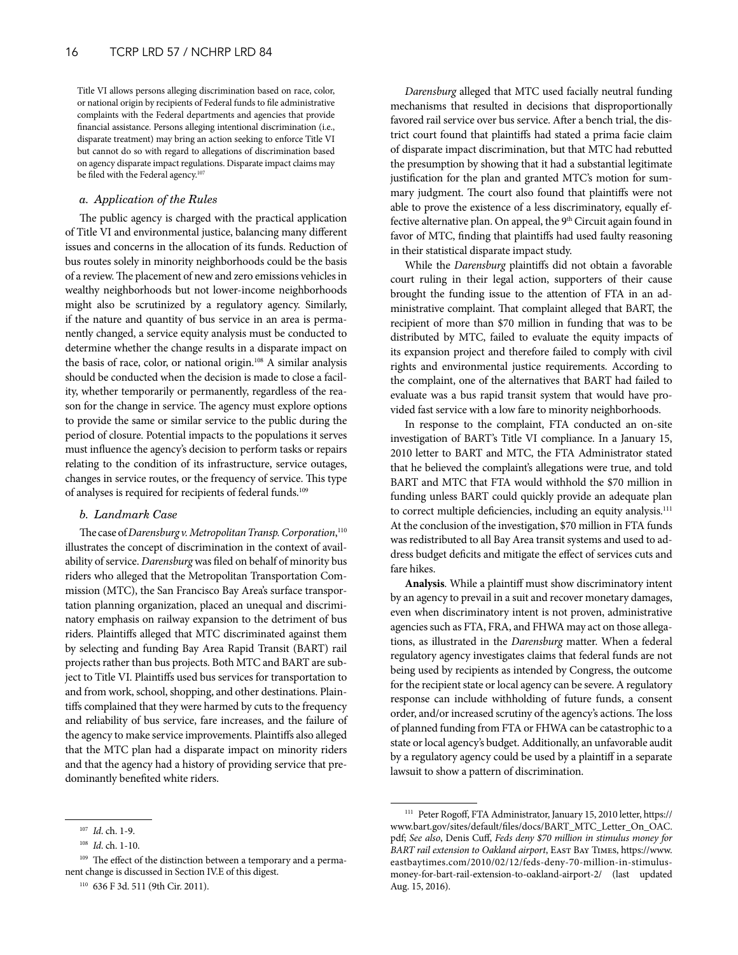Title VI allows persons alleging discrimination based on race, color, or national origin by recipients of Federal funds to file administrative complaints with the Federal departments and agencies that provide financial assistance. Persons alleging intentional discrimination (i.e., disparate treatment) may bring an action seeking to enforce Title VI but cannot do so with regard to allegations of discrimination based on agency disparate impact regulations. Disparate impact claims may be filed with the Federal agency.<sup>107</sup>

## *a. Application of the Rules*

The public agency is charged with the practical application of Title VI and environmental justice, balancing many different issues and concerns in the allocation of its funds. Reduction of bus routes solely in minority neighborhoods could be the basis of a review. The placement of new and zero emissions vehicles in wealthy neighborhoods but not lower-income neighborhoods might also be scrutinized by a regulatory agency. Similarly, if the nature and quantity of bus service in an area is permanently changed, a service equity analysis must be conducted to determine whether the change results in a disparate impact on the basis of race, color, or national origin.<sup>108</sup> A similar analysis should be conducted when the decision is made to close a facility, whether temporarily or permanently, regardless of the reason for the change in service. The agency must explore options to provide the same or similar service to the public during the period of closure. Potential impacts to the populations it serves must influence the agency's decision to perform tasks or repairs relating to the condition of its infrastructure, service outages, changes in service routes, or the frequency of service. This type of analyses is required for recipients of federal funds.109

#### *b. Landmark Case*

The case of *Darensburg v. Metropolitan Transp. Corporation*, 110 illustrates the concept of discrimination in the context of availability of service. *Darensburg* was filed on behalf of minority bus riders who alleged that the Metropolitan Transportation Commission (MTC), the San Francisco Bay Area's surface transportation planning organization, placed an unequal and discriminatory emphasis on railway expansion to the detriment of bus riders. Plaintiffs alleged that MTC discriminated against them by selecting and funding Bay Area Rapid Transit (BART) rail projects rather than bus projects. Both MTC and BART are subject to Title VI. Plaintiffs used bus services for transportation to and from work, school, shopping, and other destinations. Plaintiffs complained that they were harmed by cuts to the frequency and reliability of bus service, fare increases, and the failure of the agency to make service improvements. Plaintiffs also alleged that the MTC plan had a disparate impact on minority riders and that the agency had a history of providing service that predominantly benefited white riders.

*Darensburg* alleged that MTC used facially neutral funding mechanisms that resulted in decisions that disproportionally favored rail service over bus service. After a bench trial, the district court found that plaintiffs had stated a prima facie claim of disparate impact discrimination, but that MTC had rebutted the presumption by showing that it had a substantial legitimate justification for the plan and granted MTC's motion for summary judgment. The court also found that plaintiffs were not able to prove the existence of a less discriminatory, equally effective alternative plan. On appeal, the  $9<sup>th</sup>$  Circuit again found in favor of MTC, finding that plaintiffs had used faulty reasoning in their statistical disparate impact study.

While the *Darensburg* plaintiffs did not obtain a favorable court ruling in their legal action, supporters of their cause brought the funding issue to the attention of FTA in an administrative complaint. That complaint alleged that BART, the recipient of more than \$70 million in funding that was to be distributed by MTC, failed to evaluate the equity impacts of its expansion project and therefore failed to comply with civil rights and environmental justice requirements. According to the complaint, one of the alternatives that BART had failed to evaluate was a bus rapid transit system that would have provided fast service with a low fare to minority neighborhoods.

In response to the complaint, FTA conducted an on-site investigation of BART's Title VI compliance. In a January 15, 2010 letter to BART and MTC, the FTA Administrator stated that he believed the complaint's allegations were true, and told BART and MTC that FTA would withhold the \$70 million in funding unless BART could quickly provide an adequate plan to correct multiple deficiencies, including an equity analysis.<sup>111</sup> At the conclusion of the investigation, \$70 million in FTA funds was redistributed to all Bay Area transit systems and used to address budget deficits and mitigate the effect of services cuts and fare hikes.

**Analysis**. While a plaintiff must show discriminatory intent by an agency to prevail in a suit and recover monetary damages, even when discriminatory intent is not proven, administrative agencies such as FTA, FRA, and FHWA may act on those allegations, as illustrated in the *Darensburg* matter. When a federal regulatory agency investigates claims that federal funds are not being used by recipients as intended by Congress, the outcome for the recipient state or local agency can be severe. A regulatory response can include withholding of future funds, a consent order, and/or increased scrutiny of the agency's actions. The loss of planned funding from FTA or FHWA can be catastrophic to a state or local agency's budget. Additionally, an unfavorable audit by a regulatory agency could be used by a plaintiff in a separate lawsuit to show a pattern of discrimination.

<sup>107</sup> *Id*. ch. 1-9.

<sup>108</sup> *Id*. ch. 1-10.

<sup>109</sup> The effect of the distinction between a temporary and a permanent change is discussed in Section IV.E of this digest.

<sup>110</sup> 636 F 3d. 511 (9th Cir. 2011).

<sup>111</sup> Peter Rogoff, FTA Administrator, January 15, 2010 letter, https:// www.bart.gov/sites/default/files/docs/BART\_MTC\_Letter\_On\_OAC. pdf; *See also*, Denis Cuff, *Feds deny \$70 million in stimulus money for BART rail extension to Oakland airport*, East Bay Times, https://www. eastbaytimes.com/2010/02/12/feds-deny-70-million-in-stimulusmoney-for-bart-rail-extension-to-oakland-airport-2/ (last updated Aug. 15, 2016).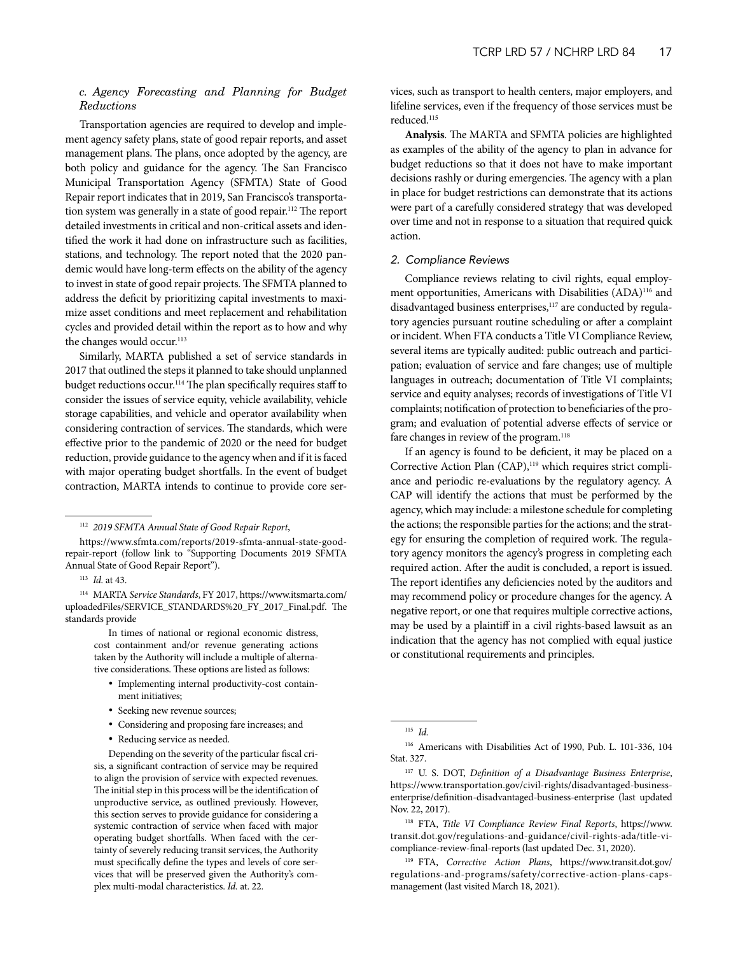## *c. Agency Forecasting and Planning for Budget Reductions*

Transportation agencies are required to develop and implement agency safety plans, state of good repair reports, and asset management plans. The plans, once adopted by the agency, are both policy and guidance for the agency. The San Francisco Municipal Transportation Agency (SFMTA) State of Good Repair report indicates that in 2019, San Francisco's transportation system was generally in a state of good repair.112 The report detailed investments in critical and non-critical assets and identified the work it had done on infrastructure such as facilities, stations, and technology. The report noted that the 2020 pandemic would have long-term effects on the ability of the agency to invest in state of good repair projects. The SFMTA planned to address the deficit by prioritizing capital investments to maximize asset conditions and meet replacement and rehabilitation cycles and provided detail within the report as to how and why the changes would occur.<sup>113</sup>

Similarly, MARTA published a set of service standards in 2017 that outlined the steps it planned to take should unplanned budget reductions occur.<sup>114</sup> The plan specifically requires staff to consider the issues of service equity, vehicle availability, vehicle storage capabilities, and vehicle and operator availability when considering contraction of services. The standards, which were effective prior to the pandemic of 2020 or the need for budget reduction, provide guidance to the agency when and if it is faced with major operating budget shortfalls. In the event of budget contraction, MARTA intends to continue to provide core ser-

<sup>114</sup> MARTA *Service Standards*, FY 2017, https://www.itsmarta.com/ uploadedFiles/SERVICE\_STANDARDS%20\_FY\_2017\_Final.pdf. The standards provide

> In times of national or regional economic distress, cost containment and/or revenue generating actions taken by the Authority will include a multiple of alternative considerations. These options are listed as follows:

- Implementing internal productivity-cost containment initiatives;
- Seeking new revenue sources;
- Considering and proposing fare increases; and
- Reducing service as needed.

Depending on the severity of the particular fiscal crisis, a significant contraction of service may be required to align the provision of service with expected revenues. The initial step in this process will be the identification of unproductive service, as outlined previously. However, this section serves to provide guidance for considering a systemic contraction of service when faced with major operating budget shortfalls. When faced with the certainty of severely reducing transit services, the Authority must specifically define the types and levels of core services that will be preserved given the Authority's complex multi-modal characteristics. *Id.* at. 22.

vices, such as transport to health centers, major employers, and lifeline services, even if the frequency of those services must be reduced.<sup>115</sup>

**Analysis**. The MARTA and SFMTA policies are highlighted as examples of the ability of the agency to plan in advance for budget reductions so that it does not have to make important decisions rashly or during emergencies. The agency with a plan in place for budget restrictions can demonstrate that its actions were part of a carefully considered strategy that was developed over time and not in response to a situation that required quick action.

## *2. Compliance Reviews*

Compliance reviews relating to civil rights, equal employment opportunities, Americans with Disabilities (ADA)<sup>116</sup> and disadvantaged business enterprises,<sup>117</sup> are conducted by regulatory agencies pursuant routine scheduling or after a complaint or incident. When FTA conducts a Title VI Compliance Review, several items are typically audited: public outreach and participation; evaluation of service and fare changes; use of multiple languages in outreach; documentation of Title VI complaints; service and equity analyses; records of investigations of Title VI complaints; notification of protection to beneficiaries of the program; and evaluation of potential adverse effects of service or fare changes in review of the program.<sup>118</sup>

If an agency is found to be deficient, it may be placed on a Corrective Action Plan (CAP),<sup>119</sup> which requires strict compliance and periodic re-evaluations by the regulatory agency. A CAP will identify the actions that must be performed by the agency, which may include: a milestone schedule for completing the actions; the responsible parties for the actions; and the strategy for ensuring the completion of required work. The regulatory agency monitors the agency's progress in completing each required action. After the audit is concluded, a report is issued. The report identifies any deficiencies noted by the auditors and may recommend policy or procedure changes for the agency. A negative report, or one that requires multiple corrective actions, may be used by a plaintiff in a civil rights-based lawsuit as an indication that the agency has not complied with equal justice or constitutional requirements and principles.

<sup>118</sup> FTA, *Title VI Compliance Review Final Reports*, https://www. transit.dot.gov/regulations-and-guidance/civil-rights-ada/title-vicompliance-review-final-reports (last updated Dec. 31, 2020).

<sup>119</sup> FTA, *Corrective Action Plans*, https://www.transit.dot.gov/ regulations-and-programs/safety/corrective-action-plans-capsmanagement (last visited March 18, 2021).

<sup>112</sup> *2019 SFMTA Annual State of Good Repair Report*,

https://www.sfmta.com/reports/2019-sfmta-annual-state-goodrepair-report (follow link to "Supporting Documents 2019 SFMTA Annual State of Good Repair Report").

<sup>113</sup> *Id.* at 43.

<sup>115</sup> *Id.*

<sup>116</sup> Americans with Disabilities Act of 1990, Pub. L. 101-336, 104 Stat. 327.

<sup>117</sup> U. S. DOT, *Definition of a Disadvantage Business Enterprise*, https://www.transportation.gov/civil-rights/disadvantaged-businessenterprise/definition-disadvantaged-business-enterprise (last updated Nov. 22, 2017).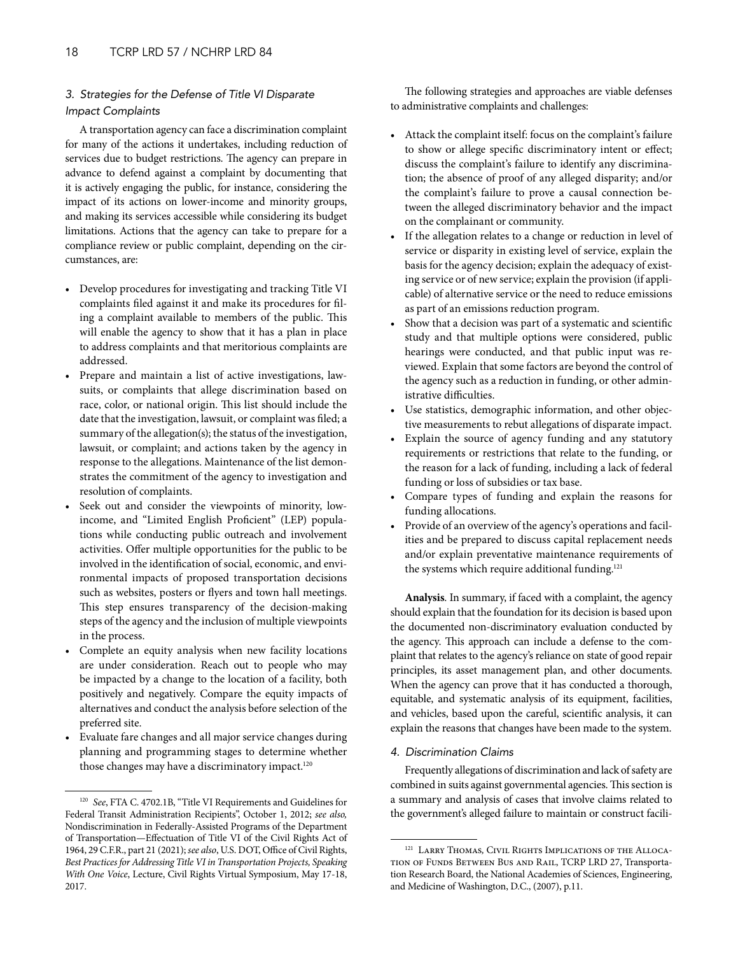## *3. Strategies for the Defense of Title VI Disparate Impact Complaints*

A transportation agency can face a discrimination complaint for many of the actions it undertakes, including reduction of services due to budget restrictions. The agency can prepare in advance to defend against a complaint by documenting that it is actively engaging the public, for instance, considering the impact of its actions on lower-income and minority groups, and making its services accessible while considering its budget limitations. Actions that the agency can take to prepare for a compliance review or public complaint, depending on the circumstances, are:

- Develop procedures for investigating and tracking Title VI complaints filed against it and make its procedures for filing a complaint available to members of the public. This will enable the agency to show that it has a plan in place to address complaints and that meritorious complaints are addressed.
- Prepare and maintain a list of active investigations, lawsuits, or complaints that allege discrimination based on race, color, or national origin. This list should include the date that the investigation, lawsuit, or complaint was filed; a summary of the allegation(s); the status of the investigation, lawsuit, or complaint; and actions taken by the agency in response to the allegations. Maintenance of the list demonstrates the commitment of the agency to investigation and resolution of complaints.
- Seek out and consider the viewpoints of minority, lowincome, and "Limited English Proficient" (LEP) populations while conducting public outreach and involvement activities. Offer multiple opportunities for the public to be involved in the identification of social, economic, and environmental impacts of proposed transportation decisions such as websites, posters or flyers and town hall meetings. This step ensures transparency of the decision-making steps of the agency and the inclusion of multiple viewpoints in the process.
- Complete an equity analysis when new facility locations are under consideration. Reach out to people who may be impacted by a change to the location of a facility, both positively and negatively. Compare the equity impacts of alternatives and conduct the analysis before selection of the preferred site.
- Evaluate fare changes and all major service changes during planning and programming stages to determine whether those changes may have a discriminatory impact.<sup>120</sup>

The following strategies and approaches are viable defenses to administrative complaints and challenges:

- Attack the complaint itself: focus on the complaint's failure to show or allege specific discriminatory intent or effect; discuss the complaint's failure to identify any discrimination; the absence of proof of any alleged disparity; and/or the complaint's failure to prove a causal connection between the alleged discriminatory behavior and the impact on the complainant or community.
- If the allegation relates to a change or reduction in level of service or disparity in existing level of service, explain the basis for the agency decision; explain the adequacy of existing service or of new service; explain the provision (if applicable) of alternative service or the need to reduce emissions as part of an emissions reduction program.
- Show that a decision was part of a systematic and scientific study and that multiple options were considered, public hearings were conducted, and that public input was reviewed. Explain that some factors are beyond the control of the agency such as a reduction in funding, or other administrative difficulties.
- Use statistics, demographic information, and other objective measurements to rebut allegations of disparate impact.
- Explain the source of agency funding and any statutory requirements or restrictions that relate to the funding, or the reason for a lack of funding, including a lack of federal funding or loss of subsidies or tax base.
- Compare types of funding and explain the reasons for funding allocations.
- Provide of an overview of the agency's operations and facilities and be prepared to discuss capital replacement needs and/or explain preventative maintenance requirements of the systems which require additional funding.<sup>121</sup>

**Analysis**. In summary, if faced with a complaint, the agency should explain that the foundation for its decision is based upon the documented non-discriminatory evaluation conducted by the agency. This approach can include a defense to the complaint that relates to the agency's reliance on state of good repair principles, its asset management plan, and other documents. When the agency can prove that it has conducted a thorough, equitable, and systematic analysis of its equipment, facilities, and vehicles, based upon the careful, scientific analysis, it can explain the reasons that changes have been made to the system.

## *4. Discrimination Claims*

Frequently allegations of discrimination and lack of safety are combined in suits against governmental agencies. This section is a summary and analysis of cases that involve claims related to the government's alleged failure to maintain or construct facili-

<sup>120</sup> *See*, FTA C. 4702.1B, "Title VI Requirements and Guidelines for Federal Transit Administration Recipients", October 1, 2012; *see also,* Nondiscrimination in Federally-Assisted Programs of the Department of Transportation—Effectuation of Title VI of the Civil Rights Act of 1964, 29 C.F.R., part 21 (2021); *see also*, U.S. DOT, Office of Civil Rights, *Best Practices for Addressing Title VI in Transportation Projects, Speaking With One Voice*, Lecture, Civil Rights Virtual Symposium, May 17-18, 2017.

<sup>&</sup>lt;sup>121</sup> LARRY THOMAS, CIVIL RIGHTS IMPLICATIONS OF THE ALLOCAtion of Funds Between Bus and Rail, TCRP LRD 27, Transportation Research Board, the National Academies of Sciences, Engineering, and Medicine of Washington, D.C., (2007), p.11.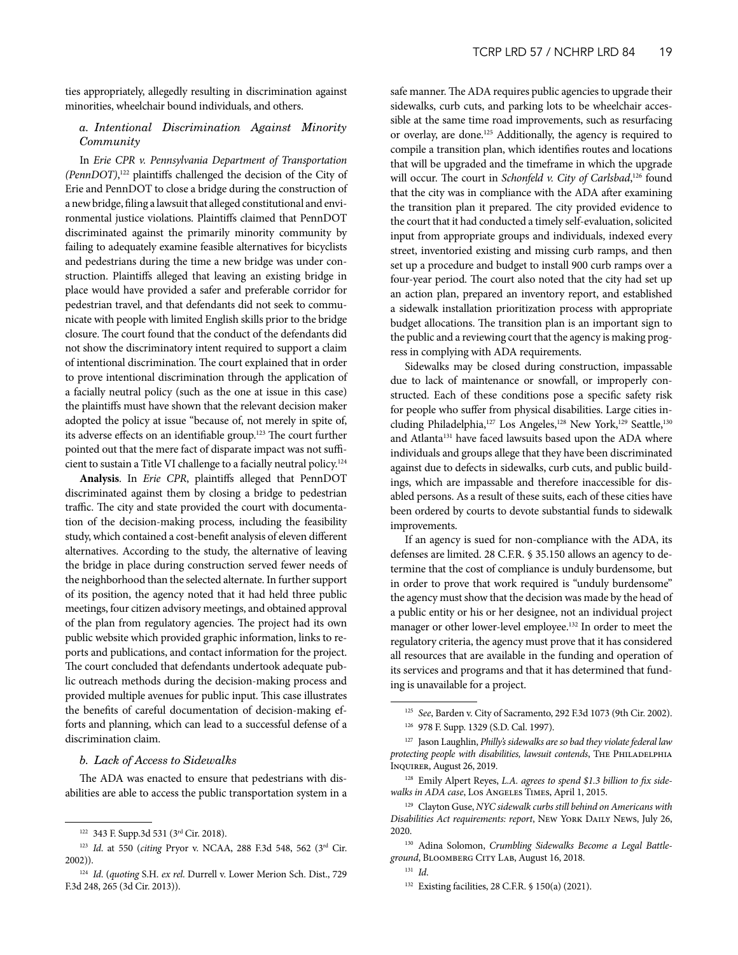ties appropriately, allegedly resulting in discrimination against minorities, wheelchair bound individuals, and others.

## *a. Intentional Discrimination Against Minority Community*

In *Erie CPR v. Pennsylvania Department of Transportation (PennDOT)*, 122 plaintiffs challenged the decision of the City of Erie and PennDOT to close a bridge during the construction of a new bridge, filing a lawsuit that alleged constitutional and environmental justice violations. Plaintiffs claimed that PennDOT discriminated against the primarily minority community by failing to adequately examine feasible alternatives for bicyclists and pedestrians during the time a new bridge was under construction. Plaintiffs alleged that leaving an existing bridge in place would have provided a safer and preferable corridor for pedestrian travel, and that defendants did not seek to communicate with people with limited English skills prior to the bridge closure. The court found that the conduct of the defendants did not show the discriminatory intent required to support a claim of intentional discrimination. The court explained that in order to prove intentional discrimination through the application of a facially neutral policy (such as the one at issue in this case) the plaintiffs must have shown that the relevant decision maker adopted the policy at issue "because of, not merely in spite of, its adverse effects on an identifiable group.123 The court further pointed out that the mere fact of disparate impact was not sufficient to sustain a Title VI challenge to a facially neutral policy.124

**Analysis**. In *Erie CPR*, plaintiffs alleged that PennDOT discriminated against them by closing a bridge to pedestrian traffic. The city and state provided the court with documentation of the decision-making process, including the feasibility study, which contained a cost-benefit analysis of eleven different alternatives. According to the study, the alternative of leaving the bridge in place during construction served fewer needs of the neighborhood than the selected alternate. In further support of its position, the agency noted that it had held three public meetings, four citizen advisory meetings, and obtained approval of the plan from regulatory agencies. The project had its own public website which provided graphic information, links to reports and publications, and contact information for the project. The court concluded that defendants undertook adequate public outreach methods during the decision-making process and provided multiple avenues for public input. This case illustrates the benefits of careful documentation of decision-making efforts and planning, which can lead to a successful defense of a discrimination claim.

#### *b. Lack of Access to Sidewalks*

The ADA was enacted to ensure that pedestrians with disabilities are able to access the public transportation system in a safe manner. The ADA requires public agencies to upgrade their sidewalks, curb cuts, and parking lots to be wheelchair accessible at the same time road improvements, such as resurfacing or overlay, are done.125 Additionally, the agency is required to compile a transition plan, which identifies routes and locations that will be upgraded and the timeframe in which the upgrade will occur. The court in *Schonfeld v. City of Carlsbad*, 126 found that the city was in compliance with the ADA after examining the transition plan it prepared. The city provided evidence to the court that it had conducted a timely self-evaluation, solicited input from appropriate groups and individuals, indexed every street, inventoried existing and missing curb ramps, and then set up a procedure and budget to install 900 curb ramps over a four-year period. The court also noted that the city had set up an action plan, prepared an inventory report, and established a sidewalk installation prioritization process with appropriate budget allocations. The transition plan is an important sign to the public and a reviewing court that the agency is making progress in complying with ADA requirements.

Sidewalks may be closed during construction, impassable due to lack of maintenance or snowfall, or improperly constructed. Each of these conditions pose a specific safety risk for people who suffer from physical disabilities. Large cities including Philadelphia,<sup>127</sup> Los Angeles,<sup>128</sup> New York,<sup>129</sup> Seattle,<sup>130</sup> and Atlanta<sup>131</sup> have faced lawsuits based upon the ADA where individuals and groups allege that they have been discriminated against due to defects in sidewalks, curb cuts, and public buildings, which are impassable and therefore inaccessible for disabled persons. As a result of these suits, each of these cities have been ordered by courts to devote substantial funds to sidewalk improvements.

If an agency is sued for non-compliance with the ADA, its defenses are limited. 28 C.F.R. § 35.150 allows an agency to determine that the cost of compliance is unduly burdensome, but in order to prove that work required is "unduly burdensome" the agency must show that the decision was made by the head of a public entity or his or her designee, not an individual project manager or other lower-level employee.132 In order to meet the regulatory criteria, the agency must prove that it has considered all resources that are available in the funding and operation of its services and programs and that it has determined that funding is unavailable for a project.

<sup>122</sup> 343 F. Supp.3d 531 (3rd Cir. 2018).

<sup>123</sup> *Id*. at 550 (*citing* Pryor v. NCAA, 288 F.3d 548, 562 (3rd Cir. 2002)).

<sup>124</sup> *Id*. (*quoting* S.H. *ex rel*. Durrell v. Lower Merion Sch. Dist., 729 F.3d 248, 265 (3d Cir. 2013)).

<sup>125</sup> *See*, Barden v. City of Sacramento, 292 F.3d 1073 (9th Cir. 2002).

<sup>126</sup> 978 F. Supp. 1329 (S.D. Cal. 1997).

<sup>127</sup> Jason Laughlin, *Philly's sidewalks are so bad they violate federal law protecting people with disabilities, lawsuit contends*, The Philadelphia Inquirer, August 26, 2019.

<sup>128</sup> Emily Alpert Reyes, *L.A. agrees to spend \$1.3 billion to fix sidewalks in ADA case*, Los Angeles Times, April 1, 2015.

<sup>129</sup> Clayton Guse, *NYC sidewalk curbs still behind on Americans with Disabilities Act requirements: report*, New York Daily News, July 26, 2020.

<sup>130</sup> Adina Solomon, *Crumbling Sidewalks Become a Legal Battleground*, Bloomberg City Lab, August 16, 2018.

<sup>131</sup> *Id*.

<sup>132</sup> Existing facilities, 28 C.F.R. § 150(a) (2021).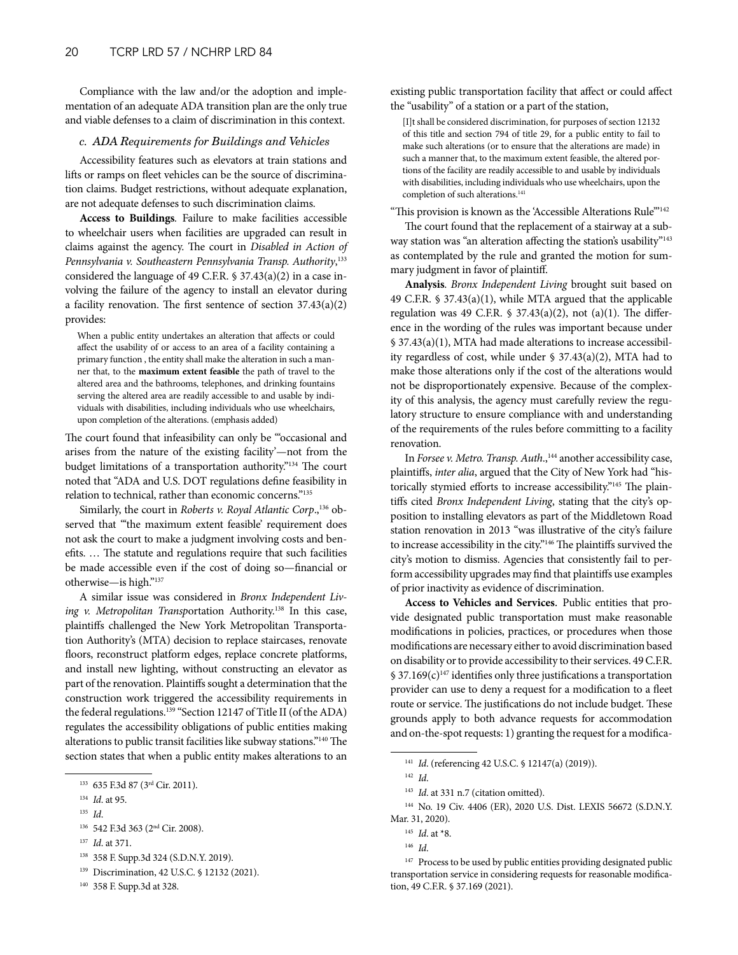Compliance with the law and/or the adoption and implementation of an adequate ADA transition plan are the only true and viable defenses to a claim of discrimination in this context.

#### *c. ADA Requirements for Buildings and Vehicles*

Accessibility features such as elevators at train stations and lifts or ramps on fleet vehicles can be the source of discrimination claims. Budget restrictions, without adequate explanation, are not adequate defenses to such discrimination claims.

**Access to Buildings***.* Failure to make facilities accessible to wheelchair users when facilities are upgraded can result in claims against the agency. The court in *Disabled in Action of Pennsylvania v. Southeastern Pennsylvania Transp. Authority*, 133 considered the language of 49 C.F.R. § 37.43(a)(2) in a case involving the failure of the agency to install an elevator during a facility renovation. The first sentence of section 37.43(a)(2) provides:

When a public entity undertakes an alteration that affects or could affect the usability of or access to an area of a facility containing a primary function , the entity shall make the alteration in such a manner that, to the **maximum extent feasible** the path of travel to the altered area and the bathrooms, telephones, and drinking fountains serving the altered area are readily accessible to and usable by individuals with disabilities, including individuals who use wheelchairs, upon completion of the alterations. (emphasis added)

The court found that infeasibility can only be "occasional and arises from the nature of the existing facility'—not from the budget limitations of a transportation authority."134 The court noted that "ADA and U.S. DOT regulations define feasibility in relation to technical, rather than economic concerns."135

Similarly, the court in *Roberts v. Royal Atlantic Corp.*,<sup>136</sup> observed that "'the maximum extent feasible' requirement does not ask the court to make a judgment involving costs and benefits. … The statute and regulations require that such facilities be made accessible even if the cost of doing so—financial or otherwise—is high."137

A similar issue was considered in *Bronx Independent Living v. Metropolitan Transportation Authority.*<sup>138</sup> In this case, plaintiffs challenged the New York Metropolitan Transportation Authority's (MTA) decision to replace staircases, renovate floors, reconstruct platform edges, replace concrete platforms, and install new lighting, without constructing an elevator as part of the renovation. Plaintiffs sought a determination that the construction work triggered the accessibility requirements in the federal regulations.<sup>139</sup> "Section 12147 of Title II (of the ADA) regulates the accessibility obligations of public entities making alterations to public transit facilities like subway stations."140 The section states that when a public entity makes alterations to an

existing public transportation facility that affect or could affect the "usability" of a station or a part of the station,

[I]t shall be considered discrimination, for purposes of section 12132 of this title and section 794 of title 29, for a public entity to fail to make such alterations (or to ensure that the alterations are made) in such a manner that, to the maximum extent feasible, the altered portions of the facility are readily accessible to and usable by individuals with disabilities, including individuals who use wheelchairs, upon the completion of such alterations.<sup>141</sup>

"This provision is known as the 'Accessible Alterations Rule'"142

The court found that the replacement of a stairway at a subway station was "an alteration affecting the station's usability"<sup>143</sup> as contemplated by the rule and granted the motion for summary judgment in favor of plaintiff.

**Analysis**. *Bronx Independent Living* brought suit based on 49 C.F.R. § 37.43(a)(1), while MTA argued that the applicable regulation was 49 C.F.R.  $\frac{1}{2}$  37.43(a)(2), not (a)(1). The difference in the wording of the rules was important because under § 37.43(a)(1), MTA had made alterations to increase accessibility regardless of cost, while under § 37.43(a)(2), MTA had to make those alterations only if the cost of the alterations would not be disproportionately expensive. Because of the complexity of this analysis, the agency must carefully review the regulatory structure to ensure compliance with and understanding of the requirements of the rules before committing to a facility renovation.

In *Forsee v. Metro. Transp. Auth.*,<sup>144</sup> another accessibility case, plaintiffs, *inter alia*, argued that the City of New York had "historically stymied efforts to increase accessibility."145 The plaintiffs cited *Bronx Independent Living*, stating that the city's opposition to installing elevators as part of the Middletown Road station renovation in 2013 "was illustrative of the city's failure to increase accessibility in the city."146 The plaintiffs survived the city's motion to dismiss. Agencies that consistently fail to perform accessibility upgrades may find that plaintiffs use examples of prior inactivity as evidence of discrimination.

**Access to Vehicles and Services***.* Public entities that provide designated public transportation must make reasonable modifications in policies, practices, or procedures when those modifications are necessary either to avoid discrimination based on disability or to provide accessibility to their services. 49 C.F.R.  $$37.169(c)^{147}$  identifies only three justifications a transportation provider can use to deny a request for a modification to a fleet route or service. The justifications do not include budget. These grounds apply to both advance requests for accommodation and on-the-spot requests: 1) granting the request for a modifica-

<sup>133</sup> 635 F.3d 87 (3rd Cir. 2011).

<sup>134</sup> *Id*. at 95.

<sup>135</sup> *Id*.

<sup>136</sup> 542 F.3d 363 (2nd Cir. 2008).

<sup>137</sup> *Id*. at 371.

<sup>138</sup> 358 F. Supp.3d 324 (S.D.N.Y. 2019).

<sup>139</sup> Discrimination, 42 U.S.C. § 12132 (2021).

<sup>140</sup> 358 F. Supp.3d at 328.

<sup>141</sup> *Id*. (referencing 42 U.S.C. § 12147(a) (2019)).

<sup>142</sup> *Id*.

<sup>&</sup>lt;sup>143</sup> *Id.* at 331 n.7 (citation omitted).

<sup>144</sup> No. 19 Civ. 4406 (ER), 2020 U.S. Dist. LEXIS 56672 (S.D.N.Y. Mar. 31, 2020).

<sup>145</sup> *Id*. at \*8.

<sup>146</sup> *Id*.

<sup>&</sup>lt;sup>147</sup> Process to be used by public entities providing designated public transportation service in considering requests for reasonable modification, 49 C.F.R. § 37.169 (2021).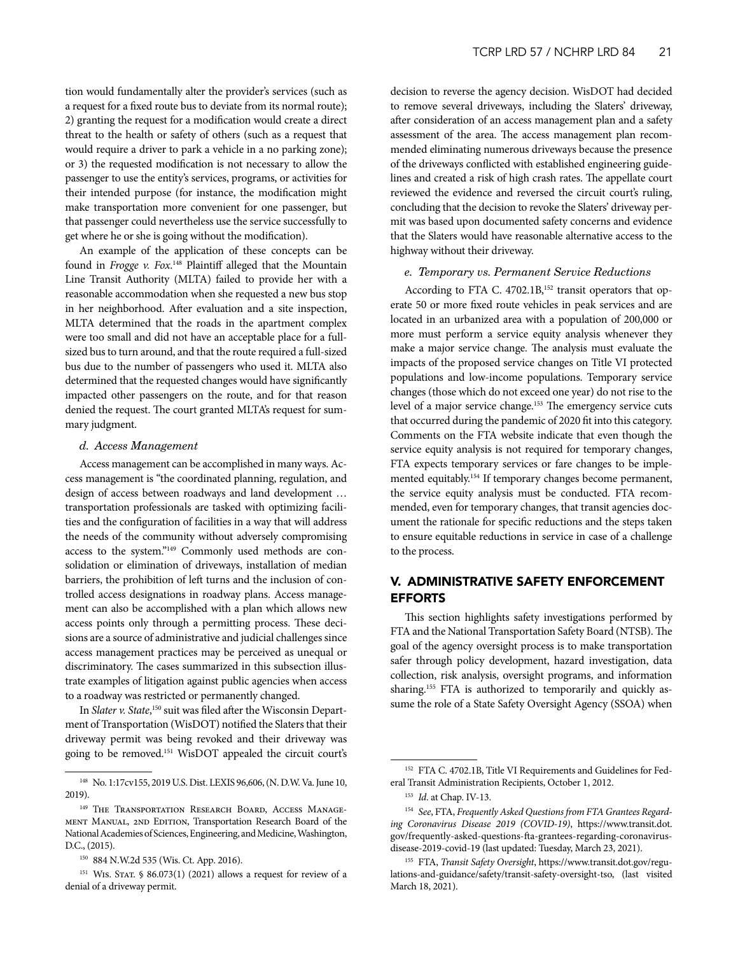<span id="page-20-0"></span>tion would fundamentally alter the provider's services (such as a request for a fixed route bus to deviate from its normal route); 2) granting the request for a modification would create a direct threat to the health or safety of others (such as a request that would require a driver to park a vehicle in a no parking zone); or 3) the requested modification is not necessary to allow the passenger to use the entity's services, programs, or activities for their intended purpose (for instance, the modification might make transportation more convenient for one passenger, but that passenger could nevertheless use the service successfully to get where he or she is going without the modification).

An example of the application of these concepts can be found in *Frogge v. Fox*. 148 Plaintiff alleged that the Mountain Line Transit Authority (MLTA) failed to provide her with a reasonable accommodation when she requested a new bus stop in her neighborhood. After evaluation and a site inspection, MLTA determined that the roads in the apartment complex were too small and did not have an acceptable place for a fullsized bus to turn around, and that the route required a full-sized bus due to the number of passengers who used it. MLTA also determined that the requested changes would have significantly impacted other passengers on the route, and for that reason denied the request. The court granted MLTA's request for summary judgment.

#### *d. Access Management*

Access management can be accomplished in many ways. Access management is "the coordinated planning, regulation, and design of access between roadways and land development … transportation professionals are tasked with optimizing facilities and the configuration of facilities in a way that will address the needs of the community without adversely compromising access to the system."149 Commonly used methods are consolidation or elimination of driveways, installation of median barriers, the prohibition of left turns and the inclusion of controlled access designations in roadway plans. Access management can also be accomplished with a plan which allows new access points only through a permitting process. These decisions are a source of administrative and judicial challenges since access management practices may be perceived as unequal or discriminatory. The cases summarized in this subsection illustrate examples of litigation against public agencies when access to a roadway was restricted or permanently changed.

In *Slater v. State*,<sup>150</sup> suit was filed after the Wisconsin Department of Transportation (WisDOT) notified the Slaters that their driveway permit was being revoked and their driveway was going to be removed.151 WisDOT appealed the circuit court's decision to reverse the agency decision. WisDOT had decided to remove several driveways, including the Slaters' driveway, after consideration of an access management plan and a safety assessment of the area. The access management plan recommended eliminating numerous driveways because the presence of the driveways conflicted with established engineering guidelines and created a risk of high crash rates. The appellate court reviewed the evidence and reversed the circuit court's ruling, concluding that the decision to revoke the Slaters' driveway permit was based upon documented safety concerns and evidence that the Slaters would have reasonable alternative access to the highway without their driveway.

#### *e. Temporary vs. Permanent Service Reductions*

According to FTA C. 4702.1B,<sup>152</sup> transit operators that operate 50 or more fixed route vehicles in peak services and are located in an urbanized area with a population of 200,000 or more must perform a service equity analysis whenever they make a major service change. The analysis must evaluate the impacts of the proposed service changes on Title VI protected populations and low-income populations. Temporary service changes (those which do not exceed one year) do not rise to the level of a major service change.<sup>153</sup> The emergency service cuts that occurred during the pandemic of 2020 fit into this category. Comments on the FTA website indicate that even though the service equity analysis is not required for temporary changes, FTA expects temporary services or fare changes to be implemented equitably.154 If temporary changes become permanent, the service equity analysis must be conducted. FTA recommended, even for temporary changes, that transit agencies document the rationale for specific reductions and the steps taken to ensure equitable reductions in service in case of a challenge to the process.

## V. ADMINISTRATIVE SAFETY ENFORCEMENT EFFORTS

This section highlights safety investigations performed by FTA and the National Transportation Safety Board (NTSB). The goal of the agency oversight process is to make transportation safer through policy development, hazard investigation, data collection, risk analysis, oversight programs, and information sharing.<sup>155</sup> FTA is authorized to temporarily and quickly assume the role of a State Safety Oversight Agency (SSOA) when

<sup>148</sup> No. 1:17cv155, 2019 U.S. Dist. LEXIS 96,606, (N. D.W. Va. June 10, 2019).

<sup>149</sup> The Transportation Research Board, Access Management Manual, 2nd Edition, Transportation Research Board of the National Academies of Sciences, Engineering, and Medicine, Washington, D.C., (2015).

<sup>150</sup> 884 N.W.2d 535 (Wis. Ct. App. 2016).

 $151$  WIS. STAT. § 86.073(1) (2021) allows a request for review of a denial of a driveway permit.

<sup>&</sup>lt;sup>152</sup> FTA C. 4702.1B, Title VI Requirements and Guidelines for Federal Transit Administration Recipients, October 1, 2012.

<sup>153</sup> *Id*. at Chap. IV-13.

<sup>154</sup> *See*, FTA, *Frequently Asked Questions from FTA Grantees Regarding Coronavirus Disease 2019 (COVID-19)*, https://www.transit.dot. gov/frequently-asked-questions-fta-grantees-regarding-coronavirusdisease-2019-covid-19 (last updated: Tuesday, March 23, 2021).

<sup>155</sup> FTA, *Transit Safety Oversight*, https://www.transit.dot.gov/regulations-and-guidance/safety/transit-safety-oversight-tso, (last visited March 18, 2021).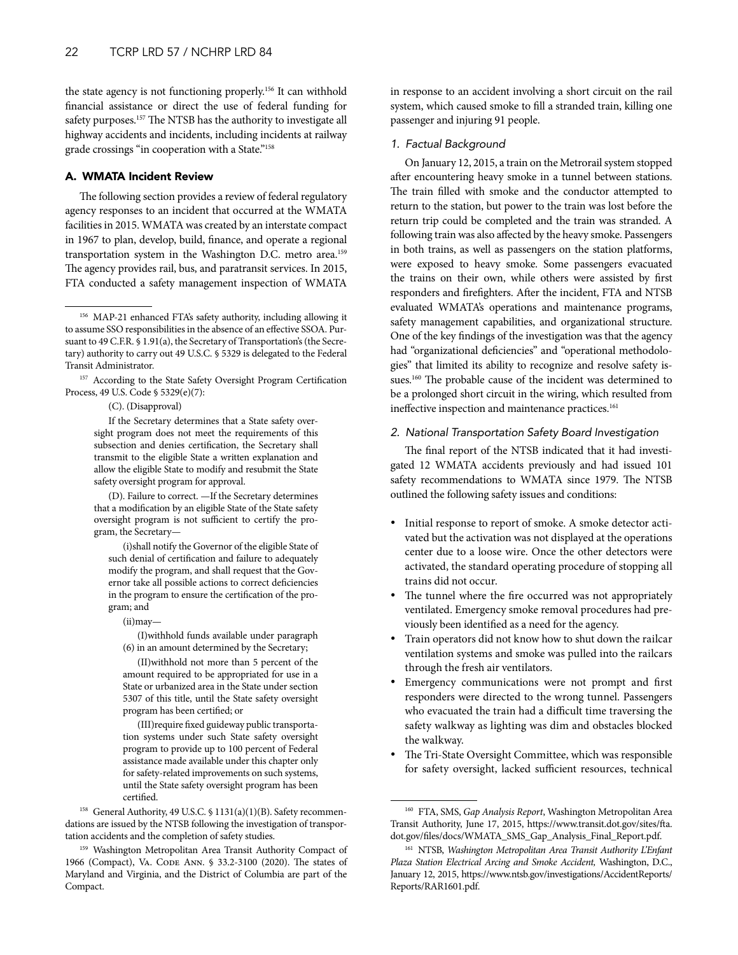<span id="page-21-0"></span>the state agency is not functioning properly.<sup>156</sup> It can withhold financial assistance or direct the use of federal funding for safety purposes.157 The NTSB has the authority to investigate all highway accidents and incidents, including incidents at railway grade crossings "in cooperation with a State."<sup>158</sup>

## A. WMATA Incident Review

The following section provides a review of federal regulatory agency responses to an incident that occurred at the WMATA facilities in 2015. WMATA was created by an interstate compact in 1967 to plan, develop, build, finance, and operate a regional transportation system in the Washington D.C. metro area.159 The agency provides rail, bus, and paratransit services. In 2015, FTA conducted a safety management inspection of WMATA

(C). (Disapproval)

If the Secretary determines that a State safety oversight program does not meet the requirements of this subsection and denies certification, the Secretary shall transmit to the eligible State a written explanation and allow the eligible State to modify and resubmit the State safety oversight program for approval.

(D). Failure to correct. —If the Secretary determines that a modification by an eligible State of the State safety oversight program is not sufficient to certify the program, the Secretary—

(i)shall notify the Governor of the eligible State of such denial of certification and failure to adequately modify the program, and shall request that the Governor take all possible actions to correct deficiencies in the program to ensure the certification of the program; and

(ii)may—

(I)withhold funds available under paragraph (6) in an amount determined by the Secretary;

(II)withhold not more than 5 percent of the amount required to be appropriated for use in a State or urbanized area in the State under section 5307 of this title, until the State safety oversight program has been certified; or

(III)require fixed guideway public transportation systems under such State safety oversight program to provide up to 100 percent of Federal assistance made available under this chapter only for safety-related improvements on such systems, until the State safety oversight program has been certified.

<sup>158</sup> General Authority, 49 U.S.C. § 1131(a)(1)(B). Safety recommendations are issued by the NTSB following the investigation of transportation accidents and the completion of safety studies.

in response to an accident involving a short circuit on the rail system, which caused smoke to fill a stranded train, killing one passenger and injuring 91 people.

## *1. Factual Background*

On January 12, 2015, a train on the Metrorail system stopped after encountering heavy smoke in a tunnel between stations. The train filled with smoke and the conductor attempted to return to the station, but power to the train was lost before the return trip could be completed and the train was stranded. A following train was also affected by the heavy smoke. Passengers in both trains, as well as passengers on the station platforms, were exposed to heavy smoke. Some passengers evacuated the trains on their own, while others were assisted by first responders and firefighters. After the incident, FTA and NTSB evaluated WMATA's operations and maintenance programs, safety management capabilities, and organizational structure. One of the key findings of the investigation was that the agency had "organizational deficiencies" and "operational methodologies" that limited its ability to recognize and resolve safety issues.<sup>160</sup> The probable cause of the incident was determined to be a prolonged short circuit in the wiring, which resulted from ineffective inspection and maintenance practices.<sup>161</sup>

#### *2. National Transportation Safety Board Investigation*

The final report of the NTSB indicated that it had investigated 12 WMATA accidents previously and had issued 101 safety recommendations to WMATA since 1979. The NTSB outlined the following safety issues and conditions:

- Initial response to report of smoke. A smoke detector activated but the activation was not displayed at the operations center due to a loose wire. Once the other detectors were activated, the standard operating procedure of stopping all trains did not occur.
- The tunnel where the fire occurred was not appropriately ventilated. Emergency smoke removal procedures had previously been identified as a need for the agency.
- Train operators did not know how to shut down the railcar ventilation systems and smoke was pulled into the railcars through the fresh air ventilators.
- Emergency communications were not prompt and first responders were directed to the wrong tunnel. Passengers who evacuated the train had a difficult time traversing the safety walkway as lighting was dim and obstacles blocked the walkway.
- The Tri-State Oversight Committee, which was responsible for safety oversight, lacked sufficient resources, technical

<sup>156</sup> MAP-21 enhanced FTA's safety authority, including allowing it to assume SSO responsibilities in the absence of an effective SSOA. Pursuant to 49 C.F.R. § 1.91(a), the Secretary of Transportation's (the Secretary) authority to carry out 49 U.S.C. § 5329 is delegated to the Federal Transit Administrator.

<sup>157</sup> According to the State Safety Oversight Program Certification Process, 49 U.S. Code § 5329(e)(7):

<sup>159</sup> Washington Metropolitan Area Transit Authority Compact of 1966 (Compact), VA. CODE ANN. § 33.2-3100 (2020). The states of Maryland and Virginia, and the District of Columbia are part of the Compact.

<sup>160</sup> FTA, SMS, *Gap Analysis Report*, Washington Metropolitan Area Transit Authority, June 17, 2015, https://www.transit.dot.gov/sites/fta. dot.gov/files/docs/WMATA\_SMS\_Gap\_Analysis\_Final\_Report.pdf.

<sup>161</sup> NTSB, *Washington Metropolitan Area Transit Authority L'Enfant Plaza Station Electrical Arcing and Smoke Accident,* Washington, D.C., January 12, 2015, https://www.ntsb.gov/investigations/AccidentReports/ Reports/RAR1601.pdf.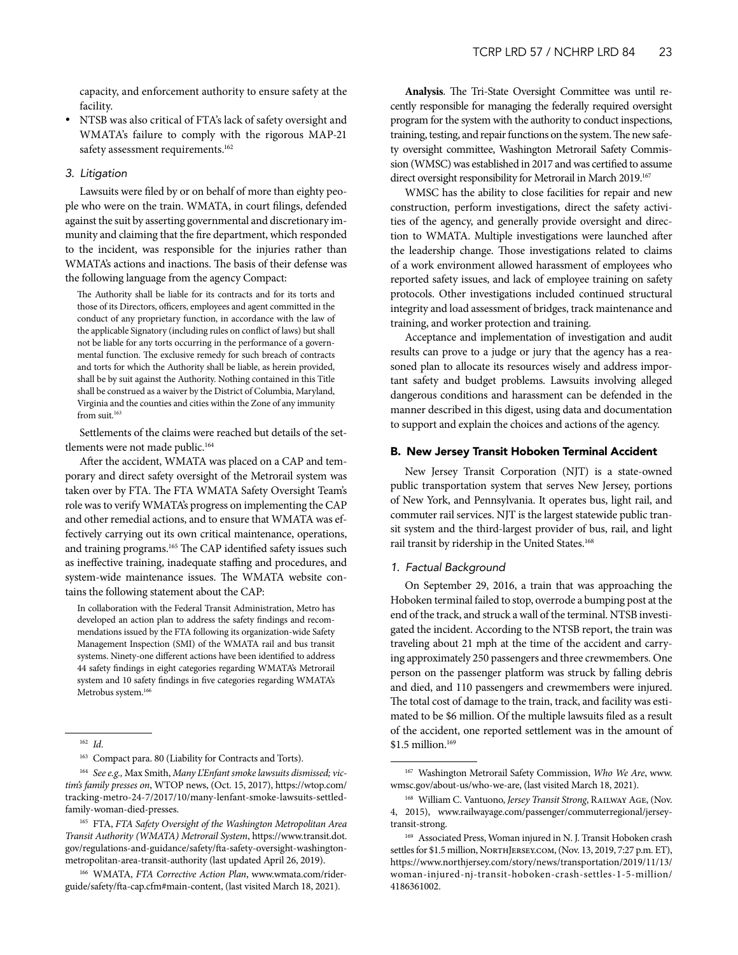<span id="page-22-0"></span>capacity, and enforcement authority to ensure safety at the facility.

• NTSB was also critical of FTA's lack of safety oversight and WMATA's failure to comply with the rigorous MAP-21 safety assessment requirements.<sup>162</sup>

#### *3. Litigation*

Lawsuits were filed by or on behalf of more than eighty people who were on the train. WMATA, in court filings, defended against the suit by asserting governmental and discretionary immunity and claiming that the fire department, which responded to the incident, was responsible for the injuries rather than WMATA's actions and inactions. The basis of their defense was the following language from the agency Compact:

The Authority shall be liable for its contracts and for its torts and those of its Directors, officers, employees and agent committed in the conduct of any proprietary function, in accordance with the law of the applicable Signatory (including rules on conflict of laws) but shall not be liable for any torts occurring in the performance of a governmental function. The exclusive remedy for such breach of contracts and torts for which the Authority shall be liable, as herein provided, shall be by suit against the Authority. Nothing contained in this Title shall be construed as a waiver by the District of Columbia, Maryland, Virginia and the counties and cities within the Zone of any immunity from suit.<sup>163</sup>

Settlements of the claims were reached but details of the settlements were not made public.<sup>164</sup>

After the accident, WMATA was placed on a CAP and temporary and direct safety oversight of the Metrorail system was taken over by FTA. The FTA WMATA Safety Oversight Team's role was to verify WMATA's progress on implementing the CAP and other remedial actions, and to ensure that WMATA was effectively carrying out its own critical maintenance, operations, and training programs.<sup>165</sup> The CAP identified safety issues such as ineffective training, inadequate staffing and procedures, and system-wide maintenance issues. The WMATA website contains the following statement about the CAP:

In collaboration with the Federal Transit Administration, Metro has developed an action plan to address the safety findings and recommendations issued by the FTA following its organization-wide Safety Management Inspection (SMI) of the WMATA rail and bus transit systems. Ninety-one different actions have been identified to address 44 safety findings in eight categories regarding WMATA's Metrorail system and 10 safety findings in five categories regarding WMATA's Metrobus system.<sup>166</sup>

<sup>162</sup> *Id*.

<sup>163</sup> Compact para. 80 (Liability for Contracts and Torts).

<sup>164</sup> *See e.g.,* Max Smith, *Many L'Enfant smoke lawsuits dismissed; victim's family presses on*, WTOP news, (Oct. 15, 2017), https://wtop.com/ tracking-metro-24-7/2017/10/many-lenfant-smoke-lawsuits-settledfamily-woman-died-presses.

**Analysis**. The Tri-State Oversight Committee was until recently responsible for managing the federally required oversight program for the system with the authority to conduct inspections, training, testing, and repair functions on the system. The new safety oversight committee, Washington Metrorail Safety Commission (WMSC) was established in 2017 and was certified to assume direct oversight responsibility for Metrorail in March 2019.<sup>167</sup>

WMSC has the ability to close facilities for repair and new construction, perform investigations, direct the safety activities of the agency, and generally provide oversight and direction to WMATA. Multiple investigations were launched after the leadership change. Those investigations related to claims of a work environment allowed harassment of employees who reported safety issues, and lack of employee training on safety protocols. Other investigations included continued structural integrity and load assessment of bridges, track maintenance and training, and worker protection and training.

Acceptance and implementation of investigation and audit results can prove to a judge or jury that the agency has a reasoned plan to allocate its resources wisely and address important safety and budget problems. Lawsuits involving alleged dangerous conditions and harassment can be defended in the manner described in this digest, using data and documentation to support and explain the choices and actions of the agency.

#### B. New Jersey Transit Hoboken Terminal Accident

New Jersey Transit Corporation (NJT) is a state-owned public transportation system that serves New Jersey, portions of New York, and Pennsylvania. It operates bus, light rail, and commuter rail services. NJT is the largest statewide public transit system and the third-largest provider of bus, rail, and light rail transit by ridership in the United States.<sup>168</sup>

#### *1. Factual Background*

On September 29, 2016, a train that was approaching the Hoboken terminal failed to stop, overrode a bumping post at the end of the track, and struck a wall of the terminal. NTSB investigated the incident. According to the NTSB report, the train was traveling about 21 mph at the time of the accident and carrying approximately 250 passengers and three crewmembers. One person on the passenger platform was struck by falling debris and died, and 110 passengers and crewmembers were injured. The total cost of damage to the train, track, and facility was estimated to be \$6 million. Of the multiple lawsuits filed as a result of the accident, one reported settlement was in the amount of \$1.5 million.<sup>169</sup>

<sup>165</sup> FTA, *FTA Safety Oversight of the Washington Metropolitan Area Transit Authority (WMATA) Metrorail System*, https://www.transit.dot. gov/regulations-and-guidance/safety/fta-safety-oversight-washingtonmetropolitan-area-transit-authority (last updated April 26, 2019).

<sup>166</sup> WMATA, *FTA Corrective Action Plan*, www.wmata.com/riderguide/safety/fta-cap.cfm#main-content, (last visited March 18, 2021).

<sup>167</sup> Washington Metrorail Safety Commission, *Who We Are*, www. wmsc.gov/about-us/who-we-are, (last visited March 18, 2021).

<sup>168</sup> William C. Vantuono, *Jersey Transit Strong*, Railway Age, (Nov. 4, 2015), www.railwayage.com/passenger/commuterregional/jerseytransit-strong.

<sup>169</sup> Associated Press, Woman injured in N. J. Transit Hoboken crash settles for \$1.5 million, NORTHJERSEY.COM, (Nov. 13, 2019, 7:27 p.m. ET), https://www.northjersey.com/story/news/transportation/2019/11/13/ woman-injured-nj-transit-hoboken-crash-settles-1-5-million/ 4186361002.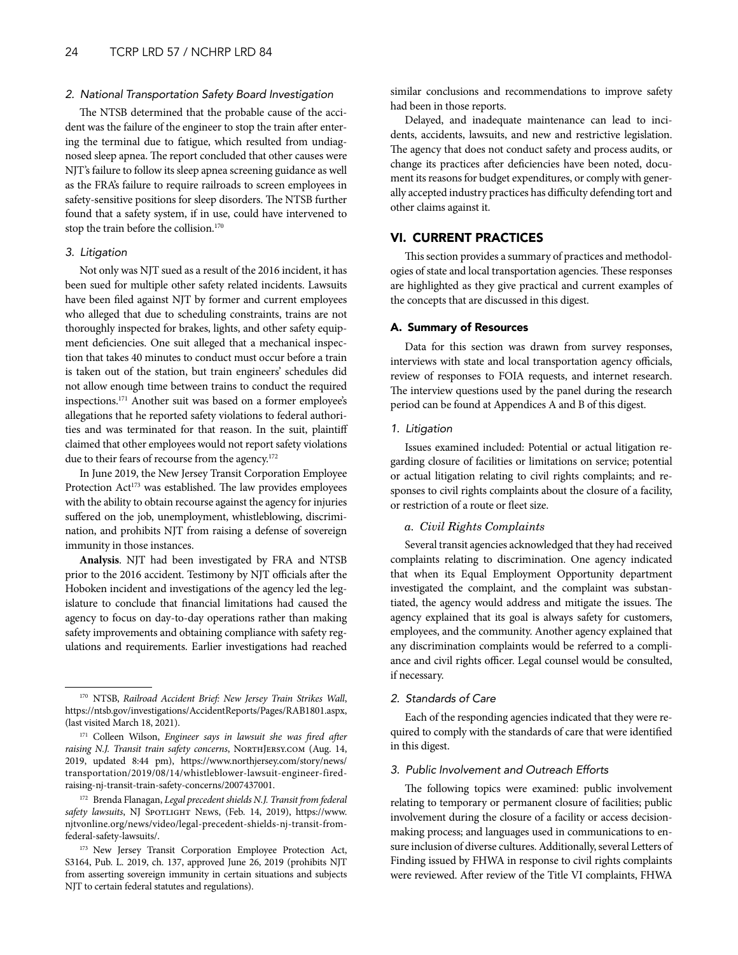#### <span id="page-23-0"></span>*2. National Transportation Safety Board Investigation*

The NTSB determined that the probable cause of the accident was the failure of the engineer to stop the train after entering the terminal due to fatigue, which resulted from undiagnosed sleep apnea. The report concluded that other causes were NJT's failure to follow its sleep apnea screening guidance as well as the FRA's failure to require railroads to screen employees in safety-sensitive positions for sleep disorders. The NTSB further found that a safety system, if in use, could have intervened to stop the train before the collision.170

## *3. Litigation*

Not only was NJT sued as a result of the 2016 incident, it has been sued for multiple other safety related incidents. Lawsuits have been filed against NJT by former and current employees who alleged that due to scheduling constraints, trains are not thoroughly inspected for brakes, lights, and other safety equipment deficiencies. One suit alleged that a mechanical inspection that takes 40 minutes to conduct must occur before a train is taken out of the station, but train engineers' schedules did not allow enough time between trains to conduct the required inspections.171 Another suit was based on a former employee's allegations that he reported safety violations to federal authorities and was terminated for that reason. In the suit, plaintiff claimed that other employees would not report safety violations due to their fears of recourse from the agency.<sup>172</sup>

In June 2019, the New Jersey Transit Corporation Employee Protection Act<sup>173</sup> was established. The law provides employees with the ability to obtain recourse against the agency for injuries suffered on the job, unemployment, whistleblowing, discrimination, and prohibits NJT from raising a defense of sovereign immunity in those instances.

**Analysis**. NJT had been investigated by FRA and NTSB prior to the 2016 accident. Testimony by NJT officials after the Hoboken incident and investigations of the agency led the legislature to conclude that financial limitations had caused the agency to focus on day-to-day operations rather than making safety improvements and obtaining compliance with safety regulations and requirements. Earlier investigations had reached

<sup>172</sup> Brenda Flanagan, *Legal precedent shields N.J. Transit from federal*  safety lawsuits, NJ SPOTLIGHT NEWS, (Feb. 14, 2019), https://www. njtvonline.org/news/video/legal-precedent-shields-nj-transit-fromfederal-safety-lawsuits/.

similar conclusions and recommendations to improve safety had been in those reports.

Delayed, and inadequate maintenance can lead to incidents, accidents, lawsuits, and new and restrictive legislation. The agency that does not conduct safety and process audits, or change its practices after deficiencies have been noted, document its reasons for budget expenditures, or comply with generally accepted industry practices has difficulty defending tort and other claims against it.

## VI. CURRENT PRACTICES

This section provides a summary of practices and methodologies of state and local transportation agencies. These responses are highlighted as they give practical and current examples of the concepts that are discussed in this digest.

#### A. Summary of Resources

Data for this section was drawn from survey responses, interviews with state and local transportation agency officials, review of responses to FOIA requests, and internet research. The interview questions used by the panel during the research period can be found at Appendices A and B of this digest.

#### *1. Litigation*

Issues examined included: Potential or actual litigation regarding closure of facilities or limitations on service; potential or actual litigation relating to civil rights complaints; and responses to civil rights complaints about the closure of a facility, or restriction of a route or fleet size.

## *a. Civil Rights Complaints*

Several transit agencies acknowledged that they had received complaints relating to discrimination. One agency indicated that when its Equal Employment Opportunity department investigated the complaint, and the complaint was substantiated, the agency would address and mitigate the issues. The agency explained that its goal is always safety for customers, employees, and the community. Another agency explained that any discrimination complaints would be referred to a compliance and civil rights officer. Legal counsel would be consulted, if necessary.

## *2. Standards of Care*

Each of the responding agencies indicated that they were required to comply with the standards of care that were identified in this digest.

## *3. Public Involvement and Outreach Efforts*

The following topics were examined: public involvement relating to temporary or permanent closure of facilities; public involvement during the closure of a facility or access decisionmaking process; and languages used in communications to ensure inclusion of diverse cultures. Additionally, several Letters of Finding issued by FHWA in response to civil rights complaints were reviewed. After review of the Title VI complaints, FHWA

<sup>170</sup> NTSB, *Railroad Accident Brief: New Jersey Train Strikes Wall*, https://ntsb.gov/investigations/AccidentReports/Pages/RAB1801.aspx, (last visited March 18, 2021).

<sup>171</sup> Colleen Wilson, *Engineer says in lawsuit she was fired after*  raising N.J. Transit train safety concerns, NORTHJERSY.COM (Aug. 14, 2019, updated 8:44 pm), https://www.northjersey.com/story/news/ transportation/2019/08/14/whistleblower-lawsuit-engineer-firedraising-nj-transit-train-safety-concerns/2007437001.

<sup>&</sup>lt;sup>173</sup> New Jersey Transit Corporation Employee Protection Act, S3164, Pub. L. 2019, ch. 137, approved June 26, 2019 (prohibits NJT from asserting sovereign immunity in certain situations and subjects NJT to certain federal statutes and regulations).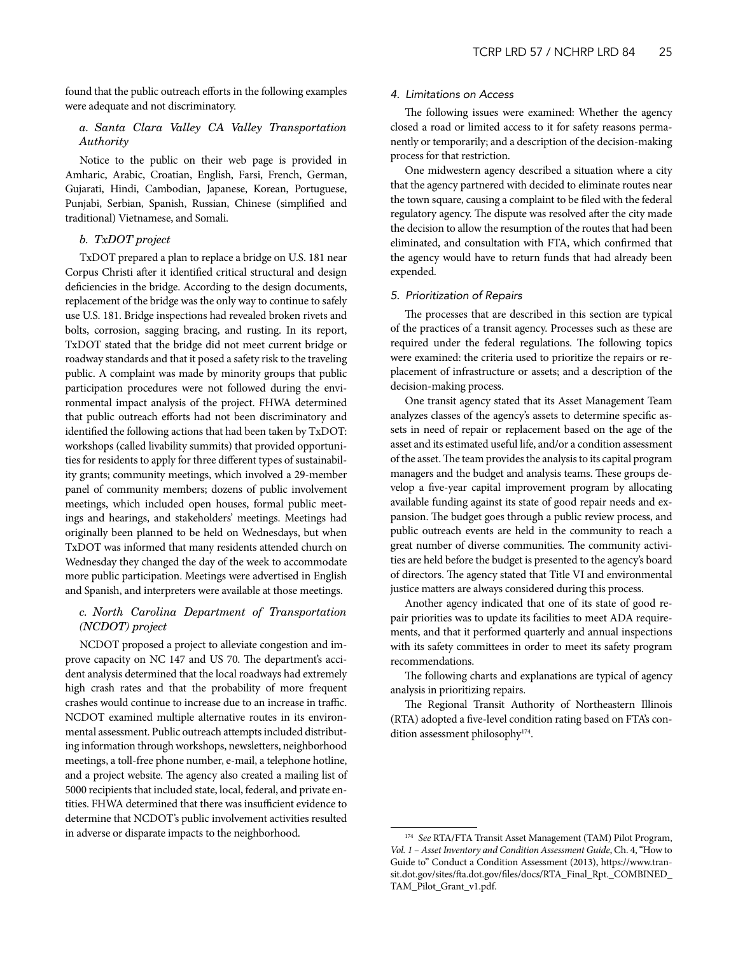found that the public outreach efforts in the following examples were adequate and not discriminatory.

## *a. Santa Clara Valley CA Valley Transportation Authority*

Notice to the public on their web page is provided in Amharic, Arabic, Croatian, English, Farsi, French, German, Gujarati, Hindi, Cambodian, Japanese, Korean, Portuguese, Punjabi, Serbian, Spanish, Russian, Chinese (simplified and traditional) Vietnamese, and Somali.

## *b. TxDOT project*

TxDOT prepared a plan to replace a bridge on U.S. 181 near Corpus Christi after it identified critical structural and design deficiencies in the bridge. According to the design documents, replacement of the bridge was the only way to continue to safely use U.S. 181. Bridge inspections had revealed broken rivets and bolts, corrosion, sagging bracing, and rusting. In its report, TxDOT stated that the bridge did not meet current bridge or roadway standards and that it posed a safety risk to the traveling public. A complaint was made by minority groups that public participation procedures were not followed during the environmental impact analysis of the project. FHWA determined that public outreach efforts had not been discriminatory and identified the following actions that had been taken by TxDOT: workshops (called livability summits) that provided opportunities for residents to apply for three different types of sustainability grants; community meetings, which involved a 29-member panel of community members; dozens of public involvement meetings, which included open houses, formal public meetings and hearings, and stakeholders' meetings. Meetings had originally been planned to be held on Wednesdays, but when TxDOT was informed that many residents attended church on Wednesday they changed the day of the week to accommodate more public participation. Meetings were advertised in English and Spanish, and interpreters were available at those meetings.

## *c. North Carolina Department of Transportation (NCDOT) project*

NCDOT proposed a project to alleviate congestion and improve capacity on NC 147 and US 70. The department's accident analysis determined that the local roadways had extremely high crash rates and that the probability of more frequent crashes would continue to increase due to an increase in traffic. NCDOT examined multiple alternative routes in its environmental assessment. Public outreach attempts included distributing information through workshops, newsletters, neighborhood meetings, a toll-free phone number, e-mail, a telephone hotline, and a project website. The agency also created a mailing list of 5000 recipients that included state, local, federal, and private entities. FHWA determined that there was insufficient evidence to determine that NCDOT's public involvement activities resulted in adverse or disparate impacts to the neighborhood.

#### *4. Limitations on Access*

The following issues were examined: Whether the agency closed a road or limited access to it for safety reasons permanently or temporarily; and a description of the decision-making process for that restriction.

One midwestern agency described a situation where a city that the agency partnered with decided to eliminate routes near the town square, causing a complaint to be filed with the federal regulatory agency. The dispute was resolved after the city made the decision to allow the resumption of the routes that had been eliminated, and consultation with FTA, which confirmed that the agency would have to return funds that had already been expended.

#### *5. Prioritization of Repairs*

The processes that are described in this section are typical of the practices of a transit agency. Processes such as these are required under the federal regulations. The following topics were examined: the criteria used to prioritize the repairs or replacement of infrastructure or assets; and a description of the decision-making process.

One transit agency stated that its Asset Management Team analyzes classes of the agency's assets to determine specific assets in need of repair or replacement based on the age of the asset and its estimated useful life, and/or a condition assessment of the asset. The team provides the analysis to its capital program managers and the budget and analysis teams. These groups develop a five-year capital improvement program by allocating available funding against its state of good repair needs and expansion. The budget goes through a public review process, and public outreach events are held in the community to reach a great number of diverse communities. The community activities are held before the budget is presented to the agency's board of directors. The agency stated that Title VI and environmental justice matters are always considered during this process.

Another agency indicated that one of its state of good repair priorities was to update its facilities to meet ADA requirements, and that it performed quarterly and annual inspections with its safety committees in order to meet its safety program recommendations.

The following charts and explanations are typical of agency analysis in prioritizing repairs.

The Regional Transit Authority of Northeastern Illinois (RTA) adopted a five-level condition rating based on FTA's condition assessment philosophy<sup>174</sup>.

<sup>174</sup> *See* RTA/FTA Transit Asset Management (TAM) Pilot Program, *Vol. 1 – Asset Inventory and Condition Assessment Guide*, Ch. 4, "How to Guide to" Conduct a Condition Assessment (2013), https://www.transit.dot.gov/sites/fta.dot.gov/files/docs/RTA\_Final\_Rpt.\_COMBINED\_ TAM\_Pilot\_Grant\_v1.pdf.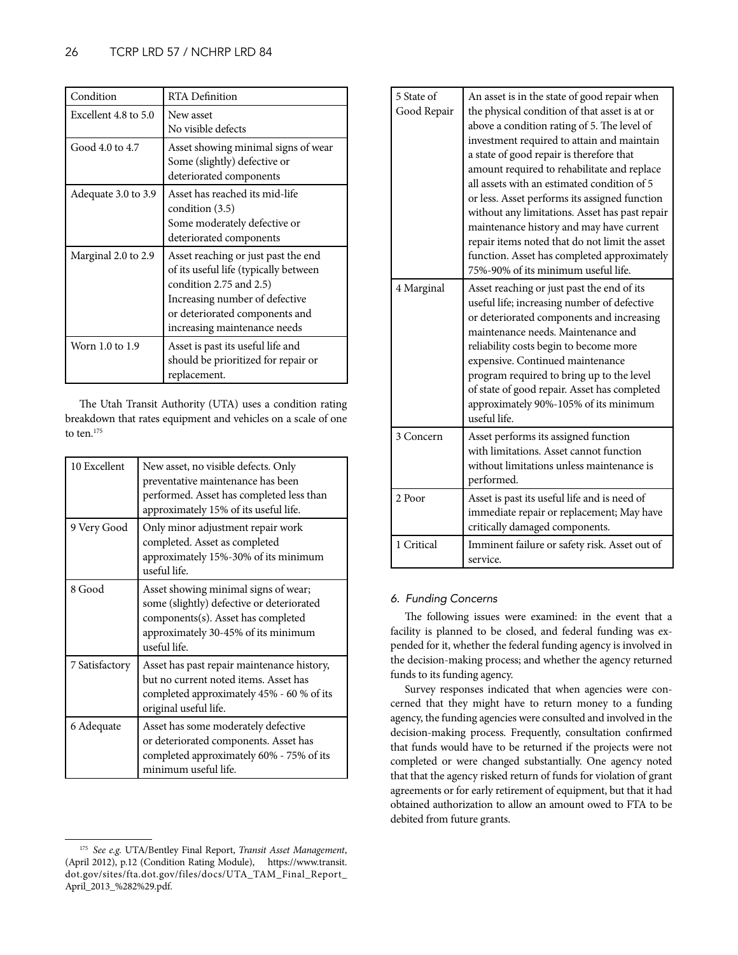| Condition            | RTA Definition                                                                                                                                                                                              |
|----------------------|-------------------------------------------------------------------------------------------------------------------------------------------------------------------------------------------------------------|
| Excellent 4.8 to 5.0 | New asset<br>No visible defects                                                                                                                                                                             |
| Good 4.0 to 4.7      | Asset showing minimal signs of wear<br>Some (slightly) defective or<br>deteriorated components                                                                                                              |
| Adequate 3.0 to 3.9  | Asset has reached its mid-life<br>condition $(3.5)$<br>Some moderately defective or<br>deteriorated components                                                                                              |
| Marginal 2.0 to 2.9  | Asset reaching or just past the end<br>of its useful life (typically between<br>condition 2.75 and 2.5)<br>Increasing number of defective<br>or deteriorated components and<br>increasing maintenance needs |
| Worn 1.0 to 1.9      | Asset is past its useful life and<br>should be prioritized for repair or<br>replacement.                                                                                                                    |

The Utah Transit Authority (UTA) uses a condition rating breakdown that rates equipment and vehicles on a scale of one to ten.<sup>175</sup>

| 10 Excellent   | New asset, no visible defects. Only<br>preventative maintenance has been<br>performed. Asset has completed less than<br>approximately 15% of its useful life.                  |
|----------------|--------------------------------------------------------------------------------------------------------------------------------------------------------------------------------|
| 9 Very Good    | Only minor adjustment repair work<br>completed. Asset as completed<br>approximately 15%-30% of its minimum<br>useful life.                                                     |
| 8 Good         | Asset showing minimal signs of wear;<br>some (slightly) defective or deteriorated<br>components(s). Asset has completed<br>approximately 30-45% of its minimum<br>useful life. |
| 7 Satisfactory | Asset has past repair maintenance history,<br>but no current noted items. Asset has<br>completed approximately 45% - 60 % of its<br>original useful life.                      |
| 6 Adequate     | Asset has some moderately defective<br>or deteriorated components. Asset has<br>completed approximately 60% - 75% of its<br>minimum useful life.                               |

| 5 State of<br>Good Repair | An asset is in the state of good repair when<br>the physical condition of that asset is at or<br>above a condition rating of 5. The level of<br>investment required to attain and maintain<br>a state of good repair is therefore that<br>amount required to rehabilitate and replace<br>all assets with an estimated condition of 5<br>or less. Asset performs its assigned function<br>without any limitations. Asset has past repair<br>maintenance history and may have current<br>repair items noted that do not limit the asset<br>function. Asset has completed approximately<br>75%-90% of its minimum useful life. |
|---------------------------|-----------------------------------------------------------------------------------------------------------------------------------------------------------------------------------------------------------------------------------------------------------------------------------------------------------------------------------------------------------------------------------------------------------------------------------------------------------------------------------------------------------------------------------------------------------------------------------------------------------------------------|
| 4 Marginal                | Asset reaching or just past the end of its<br>useful life; increasing number of defective<br>or deteriorated components and increasing<br>maintenance needs. Maintenance and<br>reliability costs begin to become more<br>expensive. Continued maintenance<br>program required to bring up to the level<br>of state of good repair. Asset has completed<br>approximately 90%-105% of its minimum<br>useful life.                                                                                                                                                                                                            |
| 3 Concern                 | Asset performs its assigned function<br>with limitations. Asset cannot function<br>without limitations unless maintenance is<br>performed.                                                                                                                                                                                                                                                                                                                                                                                                                                                                                  |
| 2 Poor                    | Asset is past its useful life and is need of<br>immediate repair or replacement; May have<br>critically damaged components.                                                                                                                                                                                                                                                                                                                                                                                                                                                                                                 |
| 1 Critical                | Imminent failure or safety risk. Asset out of<br>service.                                                                                                                                                                                                                                                                                                                                                                                                                                                                                                                                                                   |

## *6. Funding Concerns*

The following issues were examined: in the event that a facility is planned to be closed, and federal funding was expended for it, whether the federal funding agency is involved in the decision-making process; and whether the agency returned funds to its funding agency.

Survey responses indicated that when agencies were concerned that they might have to return money to a funding agency, the funding agencies were consulted and involved in the decision-making process. Frequently, consultation confirmed that funds would have to be returned if the projects were not completed or were changed substantially. One agency noted that that the agency risked return of funds for violation of grant agreements or for early retirement of equipment, but that it had obtained authorization to allow an amount owed to FTA to be debited from future grants.

<sup>175</sup> *See e.g.* UTA/Bentley Final Report, *Transit Asset Management*, (April 2012), p.12 (Condition Rating Module), https://www.transit. dot.gov/sites/fta.dot.gov/files/docs/UTA\_TAM\_Final\_Report\_ April\_2013\_%282%29.pdf.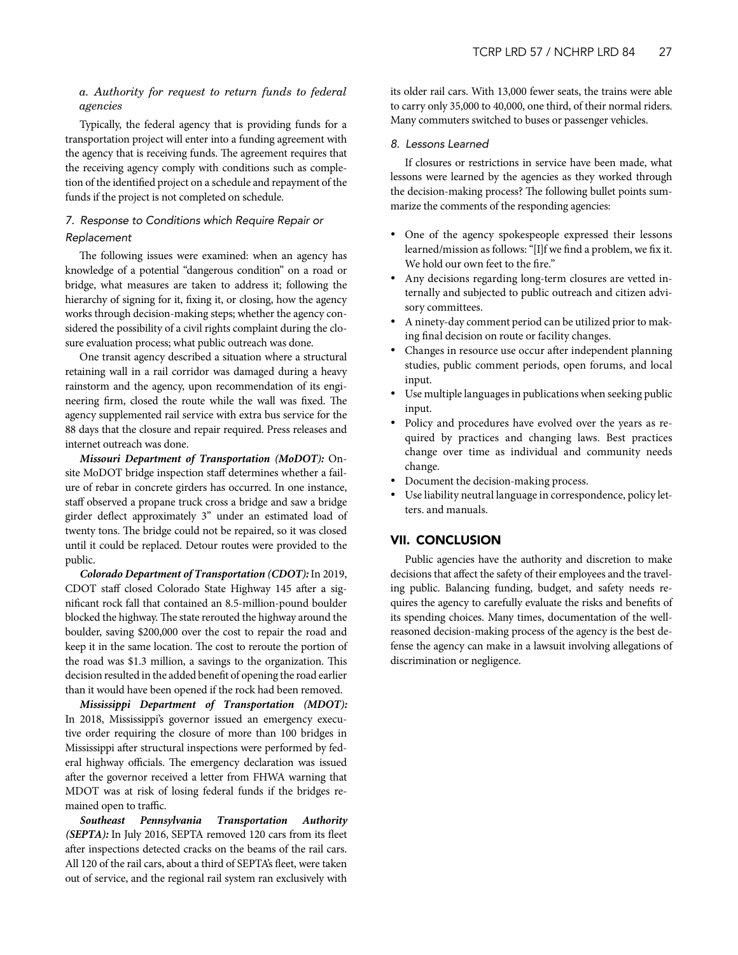## <span id="page-26-0"></span>*a. Authority for request to return funds to federal agencies*

Typically, the federal agency that is providing funds for a transportation project will enter into a funding agreement with the agency that is receiving funds. The agreement requires that the receiving agency comply with conditions such as completion of the identified project on a schedule and repayment of the funds if the project is not completed on schedule.

## *7. Response to Conditions which Require Repair or Replacement*

The following issues were examined: when an agency has knowledge of a potential "dangerous condition" on a road or bridge, what measures are taken to address it; following the hierarchy of signing for it, fixing it, or closing, how the agency works through decision-making steps; whether the agency considered the possibility of a civil rights complaint during the closure evaluation process; what public outreach was done.

One transit agency described a situation where a structural retaining wall in a rail corridor was damaged during a heavy rainstorm and the agency, upon recommendation of its engineering firm, closed the route while the wall was fixed. The agency supplemented rail service with extra bus service for the 88 days that the closure and repair required. Press releases and internet outreach was done.

*Missouri Department of Transportation (MoDOT):* Onsite MoDOT bridge inspection staff determines whether a failure of rebar in concrete girders has occurred. In one instance, staff observed a propane truck cross a bridge and saw a bridge girder deflect approximately 3" under an estimated load of twenty tons. The bridge could not be repaired, so it was closed until it could be replaced. Detour routes were provided to the public.

*Colorado Department of Transportation (CDOT):* In 2019, CDOT staff closed Colorado State Highway 145 after a significant rock fall that contained an 8.5-million-pound boulder blocked the highway. The state rerouted the highway around the boulder, saving \$200,000 over the cost to repair the road and keep it in the same location. The cost to reroute the portion of the road was \$1.3 million, a savings to the organization. This decision resulted in the added benefit of opening the road earlier than it would have been opened if the rock had been removed.

*Mississippi Department of Transportation (MDOT):* In 2018, Mississippi's governor issued an emergency executive order requiring the closure of more than 100 bridges in Mississippi after structural inspections were performed by federal highway officials. The emergency declaration was issued after the governor received a letter from FHWA warning that MDOT was at risk of losing federal funds if the bridges remained open to traffic.

*Southeast Pennsylvania Transportation Authority (SEPTA):* In July 2016, SEPTA removed 120 cars from its fleet after inspections detected cracks on the beams of the rail cars. All 120 of the rail cars, about a third of SEPTA's fleet, were taken out of service, and the regional rail system ran exclusively with

its older rail cars. With 13,000 fewer seats, the trains were able to carry only 35,000 to 40,000, one third, of their normal riders. Many commuters switched to buses or passenger vehicles.

## *8. Lessons Learned*

If closures or restrictions in service have been made, what lessons were learned by the agencies as they worked through the decision-making process? The following bullet points summarize the comments of the responding agencies:

- One of the agency spokespeople expressed their lessons learned/mission as follows: "[I]f we find a problem, we fix it. We hold our own feet to the fire."
- Any decisions regarding long-term closures are vetted internally and subjected to public outreach and citizen advisory committees.
- A ninety-day comment period can be utilized prior to making final decision on route or facility changes.
- Changes in resource use occur after independent planning studies, public comment periods, open forums, and local input.
- Use multiple languages in publications when seeking public input.
- Policy and procedures have evolved over the years as required by practices and changing laws. Best practices change over time as individual and community needs change.
- Document the decision-making process.
- Use liability neutral language in correspondence, policy letters. and manuals.

## VII. CONCLUSION

Public agencies have the authority and discretion to make decisions that affect the safety of their employees and the traveling public. Balancing funding, budget, and safety needs requires the agency to carefully evaluate the risks and benefits of its spending choices. Many times, documentation of the wellreasoned decision-making process of the agency is the best defense the agency can make in a lawsuit involving allegations of discrimination or negligence.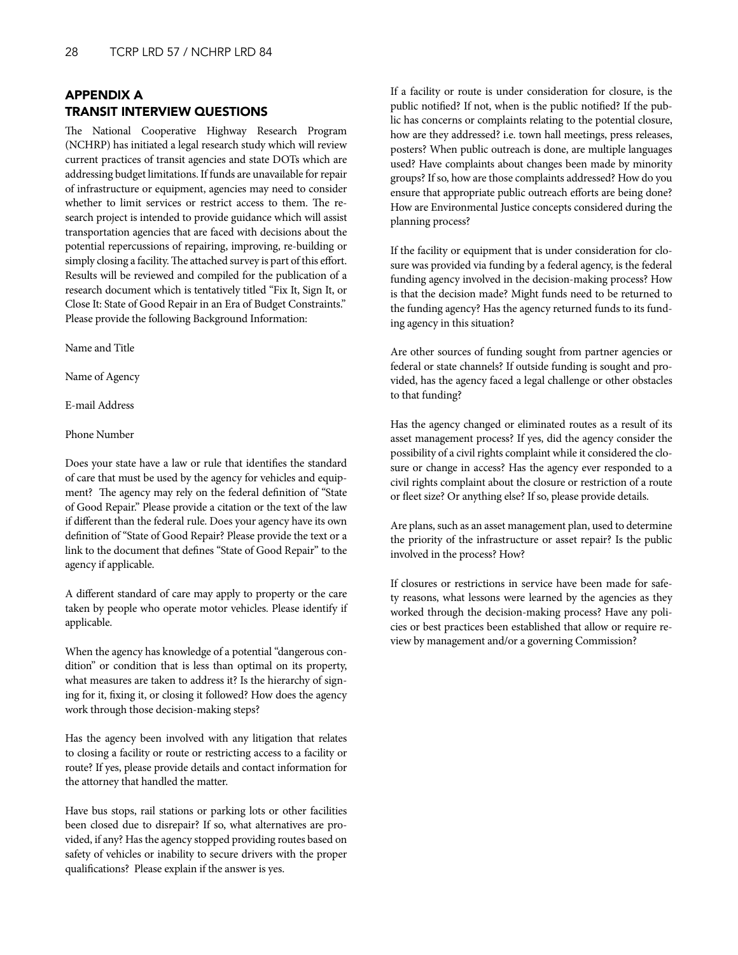## <span id="page-27-0"></span>APPENDIX A TRANSIT INTERVIEW QUESTIONS

The National Cooperative Highway Research Program (NCHRP) has initiated a legal research study which will review current practices of transit agencies and state DOTs which are addressing budget limitations. If funds are unavailable for repair of infrastructure or equipment, agencies may need to consider whether to limit services or restrict access to them. The research project is intended to provide guidance which will assist transportation agencies that are faced with decisions about the potential repercussions of repairing, improving, re-building or simply closing a facility. The attached survey is part of this effort. Results will be reviewed and compiled for the publication of a research document which is tentatively titled "Fix It, Sign It, or Close It: State of Good Repair in an Era of Budget Constraints." Please provide the following Background Information:

Name and Title

Name of Agency

E-mail Address

Phone Number

Does your state have a law or rule that identifies the standard of care that must be used by the agency for vehicles and equipment? The agency may rely on the federal definition of "State of Good Repair." Please provide a citation or the text of the law if different than the federal rule. Does your agency have its own definition of "State of Good Repair? Please provide the text or a link to the document that defines "State of Good Repair" to the agency if applicable.

A different standard of care may apply to property or the care taken by people who operate motor vehicles. Please identify if applicable.

When the agency has knowledge of a potential "dangerous condition" or condition that is less than optimal on its property, what measures are taken to address it? Is the hierarchy of signing for it, fixing it, or closing it followed? How does the agency work through those decision-making steps?

Has the agency been involved with any litigation that relates to closing a facility or route or restricting access to a facility or route? If yes, please provide details and contact information for the attorney that handled the matter.

Have bus stops, rail stations or parking lots or other facilities been closed due to disrepair? If so, what alternatives are provided, if any? Has the agency stopped providing routes based on safety of vehicles or inability to secure drivers with the proper qualifications? Please explain if the answer is yes.

If a facility or route is under consideration for closure, is the public notified? If not, when is the public notified? If the public has concerns or complaints relating to the potential closure, how are they addressed? i.e. town hall meetings, press releases, posters? When public outreach is done, are multiple languages used? Have complaints about changes been made by minority groups? If so, how are those complaints addressed? How do you ensure that appropriate public outreach efforts are being done? How are Environmental Justice concepts considered during the planning process?

If the facility or equipment that is under consideration for closure was provided via funding by a federal agency, is the federal funding agency involved in the decision-making process? How is that the decision made? Might funds need to be returned to the funding agency? Has the agency returned funds to its funding agency in this situation?

Are other sources of funding sought from partner agencies or federal or state channels? If outside funding is sought and provided, has the agency faced a legal challenge or other obstacles to that funding?

Has the agency changed or eliminated routes as a result of its asset management process? If yes, did the agency consider the possibility of a civil rights complaint while it considered the closure or change in access? Has the agency ever responded to a civil rights complaint about the closure or restriction of a route or fleet size? Or anything else? If so, please provide details.

Are plans, such as an asset management plan, used to determine the priority of the infrastructure or asset repair? Is the public involved in the process? How?

If closures or restrictions in service have been made for safety reasons, what lessons were learned by the agencies as they worked through the decision-making process? Have any policies or best practices been established that allow or require review by management and/or a governing Commission?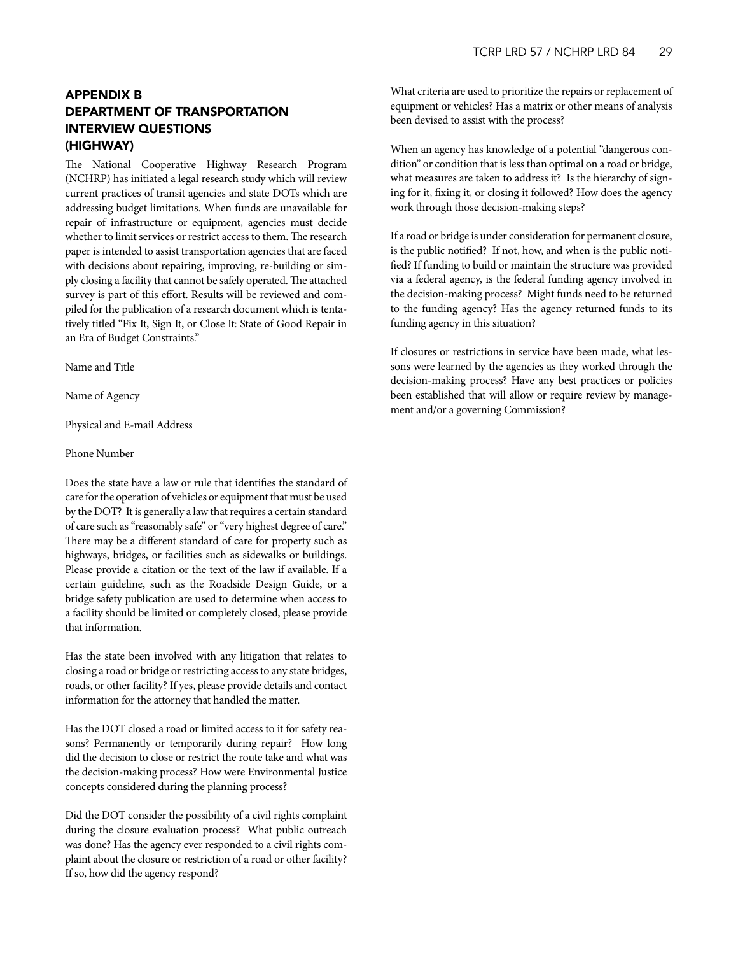## <span id="page-28-0"></span>APPENDIX B DEPARTMENT OF TRANSPORTATION INTERVIEW QUESTIONS (HIGHWAY)

The National Cooperative Highway Research Program (NCHRP) has initiated a legal research study which will review current practices of transit agencies and state DOTs which are addressing budget limitations. When funds are unavailable for repair of infrastructure or equipment, agencies must decide whether to limit services or restrict access to them. The research paper is intended to assist transportation agencies that are faced with decisions about repairing, improving, re-building or simply closing a facility that cannot be safely operated. The attached survey is part of this effort. Results will be reviewed and compiled for the publication of a research document which is tentatively titled "Fix It, Sign It, or Close It: State of Good Repair in an Era of Budget Constraints."

Name and Title

Name of Agency

Physical and E-mail Address

#### Phone Number

Does the state have a law or rule that identifies the standard of care for the operation of vehicles or equipment that must be used by the DOT? It is generally a law that requires a certain standard of care such as "reasonably safe" or "very highest degree of care." There may be a different standard of care for property such as highways, bridges, or facilities such as sidewalks or buildings. Please provide a citation or the text of the law if available. If a certain guideline, such as the Roadside Design Guide, or a bridge safety publication are used to determine when access to a facility should be limited or completely closed, please provide that information.

Has the state been involved with any litigation that relates to closing a road or bridge or restricting access to any state bridges, roads, or other facility? If yes, please provide details and contact information for the attorney that handled the matter.

Has the DOT closed a road or limited access to it for safety reasons? Permanently or temporarily during repair? How long did the decision to close or restrict the route take and what was the decision-making process? How were Environmental Justice concepts considered during the planning process?

Did the DOT consider the possibility of a civil rights complaint during the closure evaluation process? What public outreach was done? Has the agency ever responded to a civil rights complaint about the closure or restriction of a road or other facility? If so, how did the agency respond?

What criteria are used to prioritize the repairs or replacement of equipment or vehicles? Has a matrix or other means of analysis been devised to assist with the process?

When an agency has knowledge of a potential "dangerous condition" or condition that is less than optimal on a road or bridge, what measures are taken to address it? Is the hierarchy of signing for it, fixing it, or closing it followed? How does the agency work through those decision-making steps?

If a road or bridge is under consideration for permanent closure, is the public notified? If not, how, and when is the public notified? If funding to build or maintain the structure was provided via a federal agency, is the federal funding agency involved in the decision-making process? Might funds need to be returned to the funding agency? Has the agency returned funds to its funding agency in this situation?

If closures or restrictions in service have been made, what lessons were learned by the agencies as they worked through the decision-making process? Have any best practices or policies been established that will allow or require review by management and/or a governing Commission?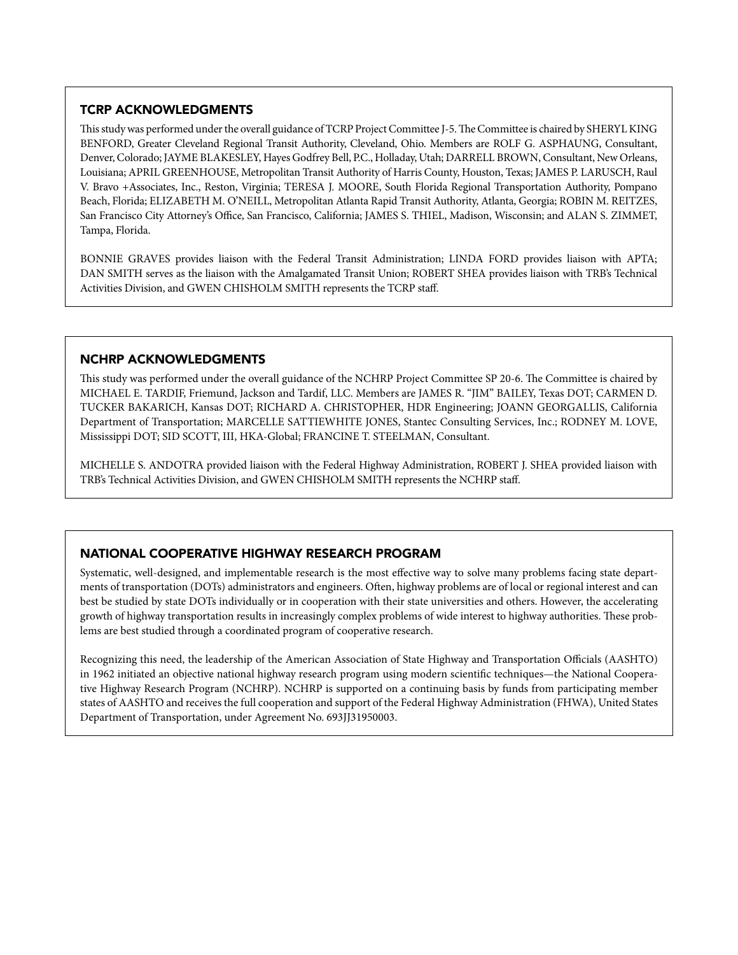## TCRP ACKNOWLEDGMENTS

This study was performed under the overall guidance of TCRP Project Committee J-5. The Committee is chaired by SHERYL KING BENFORD, Greater Cleveland Regional Transit Authority, Cleveland, Ohio. Members are ROLF G. ASPHAUNG, Consultant, Denver, Colorado; JAYME BLAKESLEY, Hayes Godfrey Bell, P.C., Holladay, Utah; DARRELL BROWN, Consultant, New Orleans, Louisiana; APRIL GREENHOUSE, Metropolitan Transit Authority of Harris County, Houston, Texas; JAMES P. LARUSCH, Raul V. Bravo +Associates, Inc., Reston, Virginia; TERESA J. MOORE, South Florida Regional Transportation Authority, Pompano Beach, Florida; ELIZABETH M. O'NEILL, Metropolitan Atlanta Rapid Transit Authority, Atlanta, Georgia; ROBIN M. REITZES, San Francisco City Attorney's Office, San Francisco, California; JAMES S. THIEL, Madison, Wisconsin; and ALAN S. ZIMMET, Tampa, Florida.

BONNIE GRAVES provides liaison with the Federal Transit Administration; LINDA FORD provides liaison with APTA; DAN SMITH serves as the liaison with the Amalgamated Transit Union; ROBERT SHEA provides liaison with TRB's Technical Activities Division, and GWEN CHISHOLM SMITH represents the TCRP staff.

## NCHRP ACKNOWLEDGMENTS

This study was performed under the overall guidance of the NCHRP Project Committee SP 20-6. The Committee is chaired by MICHAEL E. TARDIF, Friemund, Jackson and Tardif, LLC. Members are JAMES R. "JIM" BAILEY, Texas DOT; CARMEN D. TUCKER BAKARICH, Kansas DOT; RICHARD A. CHRISTOPHER, HDR Engineering; JOANN GEORGALLIS, California Department of Transportation; MARCELLE SATTIEWHITE JONES, Stantec Consulting Services, Inc.; RODNEY M. LOVE, Mississippi DOT; SID SCOTT, III, HKA-Global; FRANCINE T. STEELMAN, Consultant.

MICHELLE S. ANDOTRA provided liaison with the Federal Highway Administration, ROBERT J. SHEA provided liaison with TRB's Technical Activities Division, and GWEN CHISHOLM SMITH represents the NCHRP staff.

## NATIONAL COOPERATIVE HIGHWAY RESEARCH PROGRAM

Systematic, well-designed, and implementable research is the most effective way to solve many problems facing state departments of transportation (DOTs) administrators and engineers. Often, highway problems are of local or regional interest and can best be studied by state DOTs individually or in cooperation with their state universities and others. However, the accelerating growth of highway transportation results in increasingly complex problems of wide interest to highway authorities. These problems are best studied through a coordinated program of cooperative research.

Recognizing this need, the leadership of the American Association of State Highway and Transportation Officials (AASHTO) in 1962 initiated an objective national highway research program using modern scientific techniques—the National Cooperative Highway Research Program (NCHRP). NCHRP is supported on a continuing basis by funds from participating member states of AASHTO and receives the full cooperation and support of the Federal Highway Administration (FHWA), United States Department of Transportation, under Agreement No. 693JJ31950003.